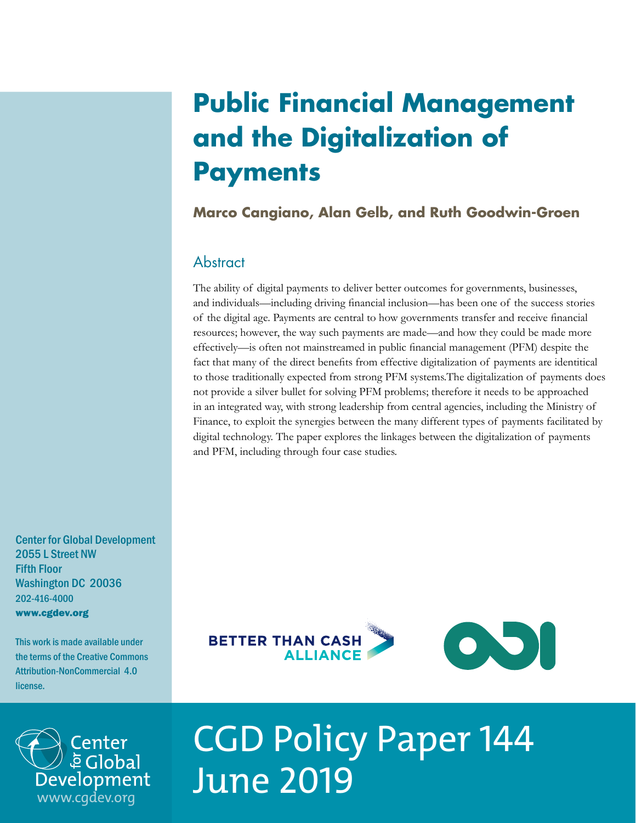# **Public Financial Management and the Digitalization of Payments**

# **Marco Cangiano, Alan Gelb, and Ruth Goodwin-Groen**

# **Abstract**

The ability of digital payments to deliver better outcomes for governments, businesses, and individuals—including driving financial inclusion—has been one of the success stories of the digital age. Payments are central to how governments transfer and receive financial resources; however, the way such payments are made—and how they could be made more effectively—is often not mainstreamed in public financial management (PFM) despite the fact that many of the direct benefits from effective digitalization of payments are identitical to those traditionally expected from strong PFM systems.The digitalization of payments does not provide a silver bullet for solving PFM problems; therefore it needs to be approached in an integrated way, with strong leadership from central agencies, including the Ministry of Finance, to exploit the synergies between the many different types of payments facilitated by digital technology. The paper explores the linkages between the digitalization of payments and PFM, including through four case studies.

Center for Global Development 2055 L Street NW Fifth Floor Washington DC 20036 202-416-4000 www.cgdev.org

This work is made available under the terms of the Creative Commons Attribution-NonCommercial 4.0 license.





# CGD Policy Paper 144 June 2019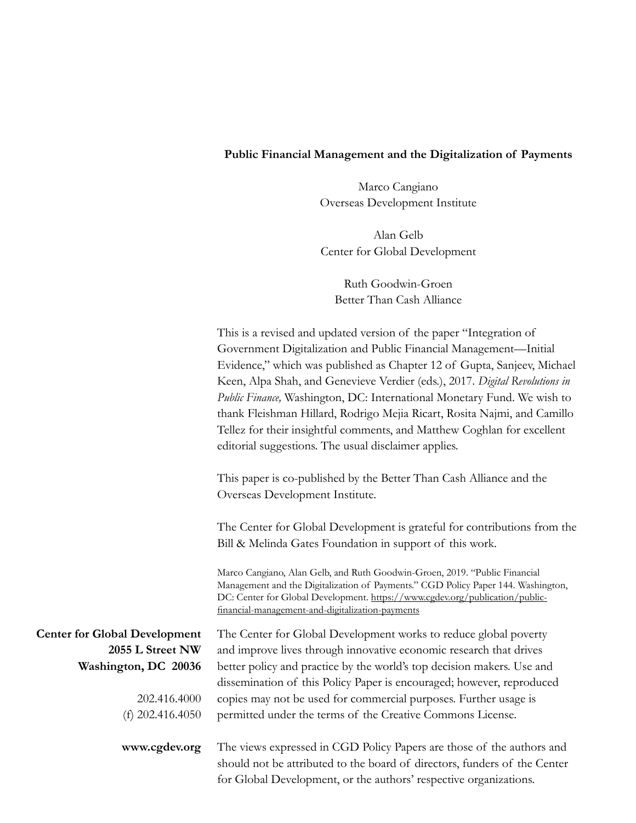#### **Public Financial Management and the Digitalization of Payments**

Marco Cangiano Overseas Development Institute

Alan Gelb Center for Global Development

Ruth Goodwin-Groen Better Than Cash Alliance

This is a revised and updated version of the paper "Integration of Government Digitalization and Public Financial Management—Initial Evidence," which was published as Chapter 12 of Gupta, Sanjeev, Michael Keen, Alpa Shah, and Genevieve Verdier (eds.), 2017. *Digital Revolutions in Public Finance,* Washington, DC: International Monetary Fund. We wish to thank Fleishman Hillard, Rodrigo Mejia Ricart, Rosita Najmi, and Camillo Tellez for their insightful comments, and Matthew Coghlan for excellent editorial suggestions. The usual disclaimer applies.

This paper is co-published by the Better Than Cash Alliance and the Overseas Development Institute.

The Center for Global Development is grateful for contributions from the Bill & Melinda Gates Foundation in support of this work.

Marco Cangiano, Alan Gelb, and Ruth Goodwin-Groen, 2019. "Public Financial Management and the Digitalization of Payments." CGD Policy Paper 144. Washington, DC: Center for Global Development. [https://www.cgdev.org/publication/public](https://www.cgdev.org/publication/public-financial-management-and-digitalization-payments)[financial-management-and-digitalization-payments](https://www.cgdev.org/publication/public-financial-management-and-digitalization-payments)

The Center for Global Development works to reduce global poverty and improve lives through innovative economic research that drives better policy and practice by the world's top decision makers. Use and dissemination of this Policy Paper is encouraged; however, reproduced copies may not be used for commercial purposes. Further usage is permitted under the terms of the Creative Commons License.

**Center for Global Development 2055 L Street NW Washington, DC 20036**

> 202.416.4000 (f) 202.416.4050

**www.cgdev.org**

The views expressed in CGD Policy Papers are those of the authors and should not be attributed to the board of directors, funders of the Center for Global Development, or the authors' respective organizations.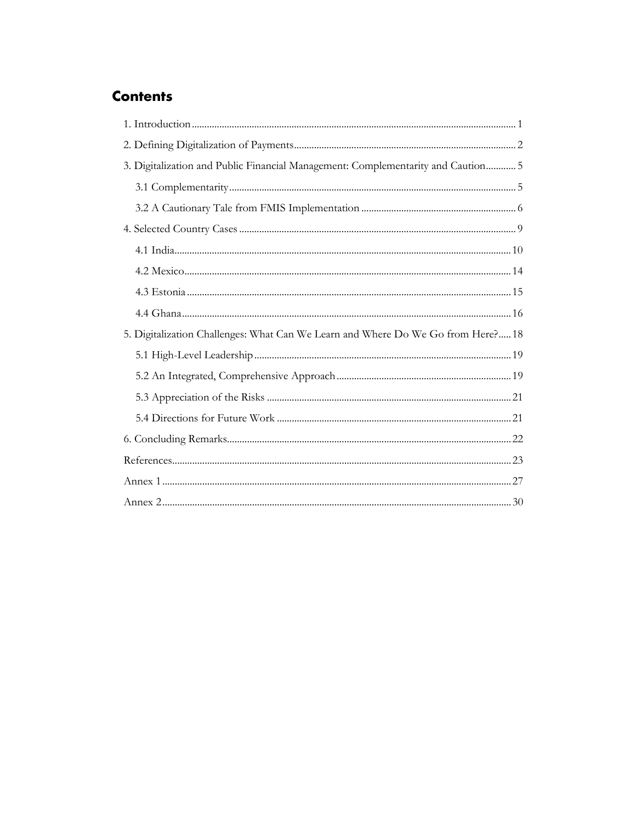# **Contents**

| 3. Digitalization and Public Financial Management: Complementarity and Caution 5 |  |  |  |  |  |
|----------------------------------------------------------------------------------|--|--|--|--|--|
|                                                                                  |  |  |  |  |  |
|                                                                                  |  |  |  |  |  |
|                                                                                  |  |  |  |  |  |
|                                                                                  |  |  |  |  |  |
|                                                                                  |  |  |  |  |  |
|                                                                                  |  |  |  |  |  |
|                                                                                  |  |  |  |  |  |
| 5. Digitalization Challenges: What Can We Learn and Where Do We Go from Here? 18 |  |  |  |  |  |
|                                                                                  |  |  |  |  |  |
|                                                                                  |  |  |  |  |  |
|                                                                                  |  |  |  |  |  |
|                                                                                  |  |  |  |  |  |
|                                                                                  |  |  |  |  |  |
|                                                                                  |  |  |  |  |  |
|                                                                                  |  |  |  |  |  |
|                                                                                  |  |  |  |  |  |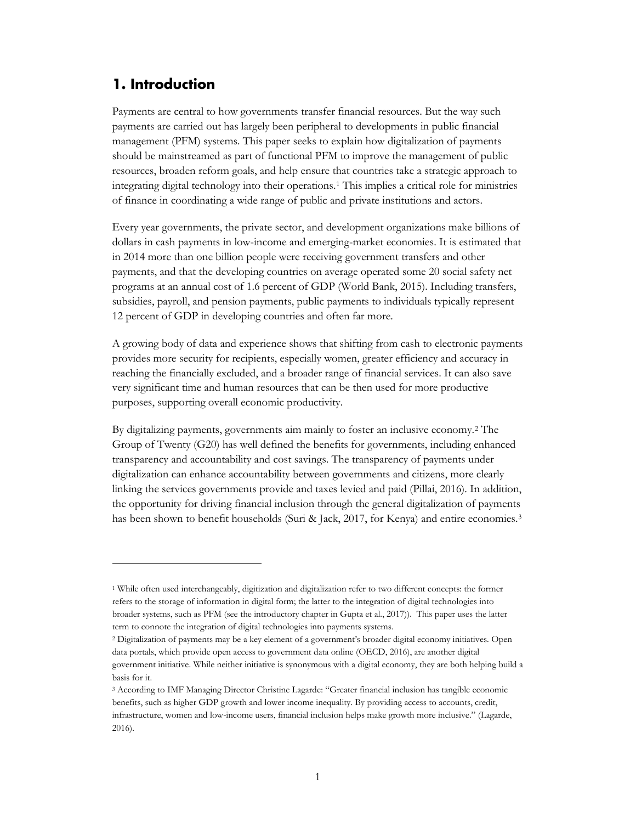# <span id="page-3-0"></span>**1. Introduction**

 $\overline{a}$ 

Payments are central to how governments transfer financial resources. But the way such payments are carried out has largely been peripheral to developments in public financial management (PFM) systems. This paper seeks to explain how digitalization of payments should be mainstreamed as part of functional PFM to improve the management of public resources, broaden reform goals, and help ensure that countries take a strategic approach to integrating digital technology into their operations.[1](#page-3-1) This implies a critical role for ministries of finance in coordinating a wide range of public and private institutions and actors.

Every year governments, the private sector, and development organizations make billions of dollars in cash payments in low-income and emerging-market economies. It is estimated that in 2014 more than one billion people were receiving government transfers and other payments, and that the developing countries on average operated some 20 social safety net programs at an annual cost of 1.6 percent of GDP (World Bank, 2015). Including transfers, subsidies, payroll, and pension payments, public payments to individuals typically represent 12 percent of GDP in developing countries and often far more.

A growing body of data and experience shows that shifting from cash to electronic payments provides more security for recipients, especially women, greater efficiency and accuracy in reaching the financially excluded, and a broader range of financial services. It can also save very significant time and human resources that can be then used for more productive purposes, supporting overall economic productivity.

By digitalizing payments, governments aim mainly to foster an inclusive economy.[2](#page-3-2) The Group of Twenty (G20) has well defined the benefits for governments, including enhanced transparency and accountability and cost savings. The transparency of payments under digitalization can enhance accountability between governments and citizens, more clearly linking the services governments provide and taxes levied and paid (Pillai, 2016). In addition, the opportunity for driving financial inclusion through the general digitalization of payments has been shown to benefit households (Suri & Jack, 2017, for Kenya) and entire economies.<sup>[3](#page-3-3)</sup>

<span id="page-3-1"></span><sup>1</sup> While often used interchangeably, digitization and digitalization refer to two different concepts: the former refers to the storage of information in digital form; the latter to the integration of digital technologies into broader systems, such as PFM (see the introductory chapter in Gupta et al., 2017)). This paper uses the latter term to connote the integration of digital technologies into payments systems.

<span id="page-3-2"></span><sup>2</sup> Digitalization of payments may be a key element of a government's broader digital economy initiatives. Open data portals, which provide open access to government data online (OECD, 2016), are another digital government initiative. While neither initiative is synonymous with a digital economy, they are both helping build a basis for it.

<span id="page-3-3"></span><sup>3</sup> According to IMF Managing Director Christine Lagarde: "Greater financial inclusion has tangible economic benefits, such as higher GDP growth and lower income inequality. By providing access to accounts, credit, infrastructure, women and low-income users, financial inclusion helps make growth more inclusive." (Lagarde, 2016).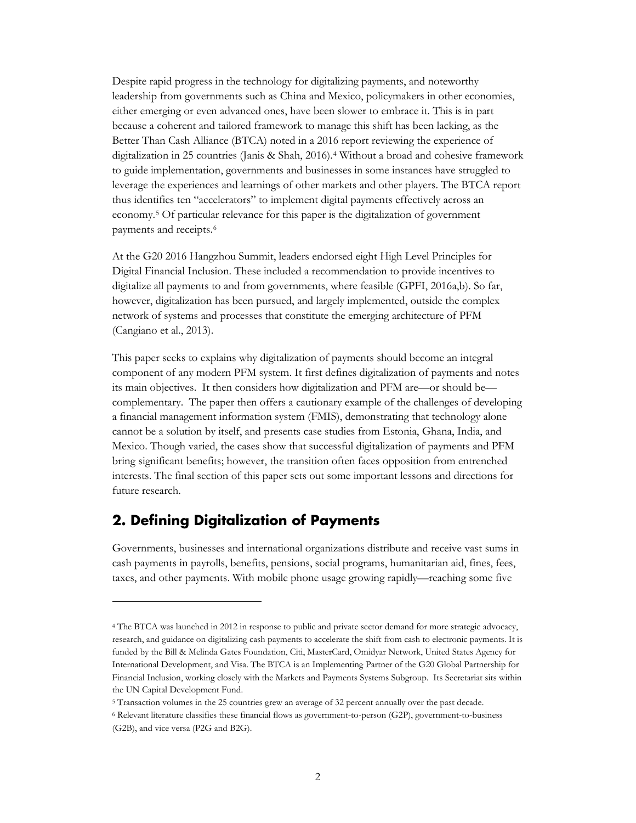Despite rapid progress in the technology for digitalizing payments, and noteworthy leadership from governments such as China and Mexico, policymakers in other economies, either emerging or even advanced ones, have been slower to embrace it. This is in part because a coherent and tailored framework to manage this shift has been lacking, as the Better Than Cash Alliance (BTCA) noted in a 2016 report reviewing the experience of digitalization in 25 countries (Janis & Shah, 2016).[4](#page-4-1) Without a broad and cohesive framework to guide implementation, governments and businesses in some instances have struggled to leverage the experiences and learnings of other markets and other players. The BTCA report thus identifies ten "accelerators" to implement digital payments effectively across an economy.[5](#page-4-2) Of particular relevance for this paper is the digitalization of government payments and receipts.[6](#page-4-3)

At the G20 2016 Hangzhou Summit, leaders endorsed eight High Level Principles for Digital Financial Inclusion. These included a recommendation to provide incentives to digitalize all payments to and from governments, where feasible (GPFI, 2016a,b). So far, however, digitalization has been pursued, and largely implemented, outside the complex network of systems and processes that constitute the emerging architecture of PFM (Cangiano et al., 2013).

This paper seeks to explains why digitalization of payments should become an integral component of any modern PFM system. It first defines digitalization of payments and notes its main objectives. It then considers how digitalization and PFM are—or should be complementary. The paper then offers a cautionary example of the challenges of developing a financial management information system (FMIS), demonstrating that technology alone cannot be a solution by itself, and presents case studies from Estonia, Ghana, India, and Mexico. Though varied, the cases show that successful digitalization of payments and PFM bring significant benefits; however, the transition often faces opposition from entrenched interests. The final section of this paper sets out some important lessons and directions for future research.

# <span id="page-4-0"></span>**2. Defining Digitalization of Payments**

 $\overline{a}$ 

Governments, businesses and international organizations distribute and receive vast sums in cash payments in payrolls, benefits, pensions, social programs, humanitarian aid, fines, fees, taxes, and other payments. With mobile phone usage growing rapidly—reaching some five

<span id="page-4-1"></span><sup>4</sup> The BTCA was launched in 2012 in response to public and private sector demand for more strategic advocacy, research, and guidance on digitalizing cash payments to accelerate the shift from cash to electronic payments. It is funded by the Bill & Melinda Gates Foundation, Citi, MasterCard, Omidyar Network, United States Agency for International Development, and Visa. The BTCA is an Implementing Partner of the G20 Global Partnership for Financial Inclusion, working closely with the Markets and Payments Systems Subgroup. Its Secretariat sits within the UN Capital Development Fund.

<span id="page-4-2"></span><sup>5</sup> Transaction volumes in the 25 countries grew an average of 32 percent annually over the past decade.

<span id="page-4-3"></span><sup>6</sup> Relevant literature classifies these financial flows as government-to-person (G2P), government-to-business (G2B), and vice versa (P2G and B2G).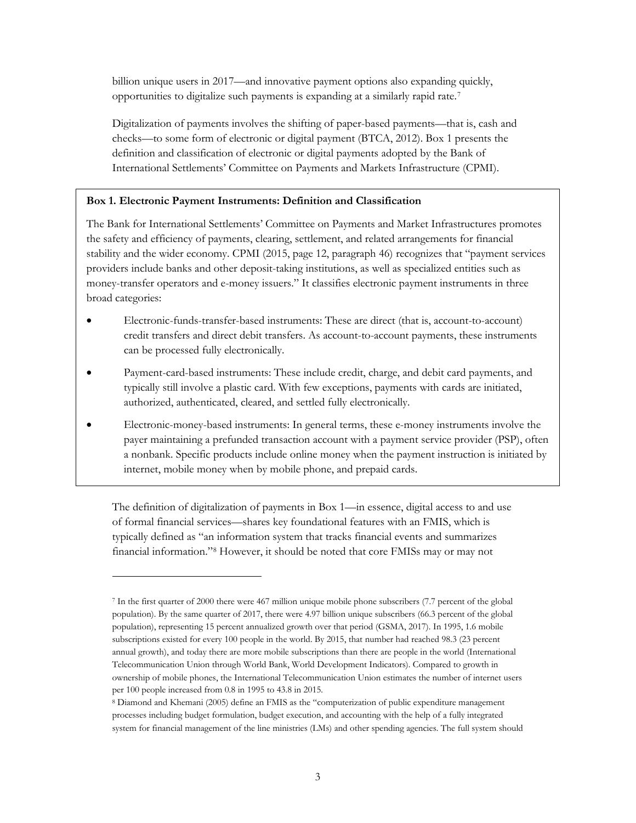billion unique users in 2017—and innovative payment options also expanding quickly, opportunities to digitalize such payments is expanding at a similarly rapid rate.[7](#page-5-0)

Digitalization of payments involves the shifting of paper-based payments—that is, cash and checks—to some form of electronic or digital payment (BTCA, 2012). Box 1 presents the definition and classification of electronic or digital payments adopted by the Bank of International Settlements' Committee on Payments and Markets Infrastructure (CPMI).

#### **Box 1. Electronic Payment Instruments: Definition and Classification**

The Bank for International Settlements' Committee on Payments and Market Infrastructures promotes the safety and efficiency of payments, clearing, settlement, and related arrangements for financial stability and the wider economy. CPMI (2015, page 12, paragraph 46) recognizes that "payment services providers include banks and other deposit-taking institutions, as well as specialized entities such as money-transfer operators and e-money issuers." It classifies electronic payment instruments in three broad categories:

- Electronic-funds-transfer-based instruments: These are direct (that is, account-to-account) credit transfers and direct debit transfers. As account-to-account payments, these instruments can be processed fully electronically.
- Payment-card-based instruments: These include credit, charge, and debit card payments, and typically still involve a plastic card. With few exceptions, payments with cards are initiated, authorized, authenticated, cleared, and settled fully electronically.
- Electronic-money-based instruments: In general terms, these e-money instruments involve the payer maintaining a prefunded transaction account with a payment service provider (PSP), often a nonbank. Specific products include online money when the payment instruction is initiated by internet, mobile money when by mobile phone, and prepaid cards.

The definition of digitalization of payments in Box 1—in essence, digital access to and use of formal financial services—shares key foundational features with an FMIS, which is typically defined as "an information system that tracks financial events and summarizes financial information."[8](#page-5-1) However, it should be noted that core FMISs may or may not

<span id="page-5-0"></span><sup>7</sup> In the first quarter of 2000 there were 467 million unique mobile phone subscribers (7.7 percent of the global population). By the same quarter of 2017, there were 4.97 billion unique subscribers (66.3 percent of the global population), representing 15 percent annualized growth over that period (GSMA, 2017). In 1995, 1.6 mobile subscriptions existed for every 100 people in the world. By 2015, that number had reached 98.3 (23 percent annual growth), and today there are more mobile subscriptions than there are people in the world (International Telecommunication Union through World Bank, World Development Indicators). Compared to growth in ownership of mobile phones, the International Telecommunication Union estimates the number of internet users per 100 people increased from 0.8 in 1995 to 43.8 in 2015.

<span id="page-5-1"></span><sup>8</sup> Diamond and Khemani (2005) define an FMIS as the "computerization of public expenditure management processes including budget formulation, budget execution, and accounting with the help of a fully integrated system for financial management of the line ministries (LMs) and other spending agencies. The full system should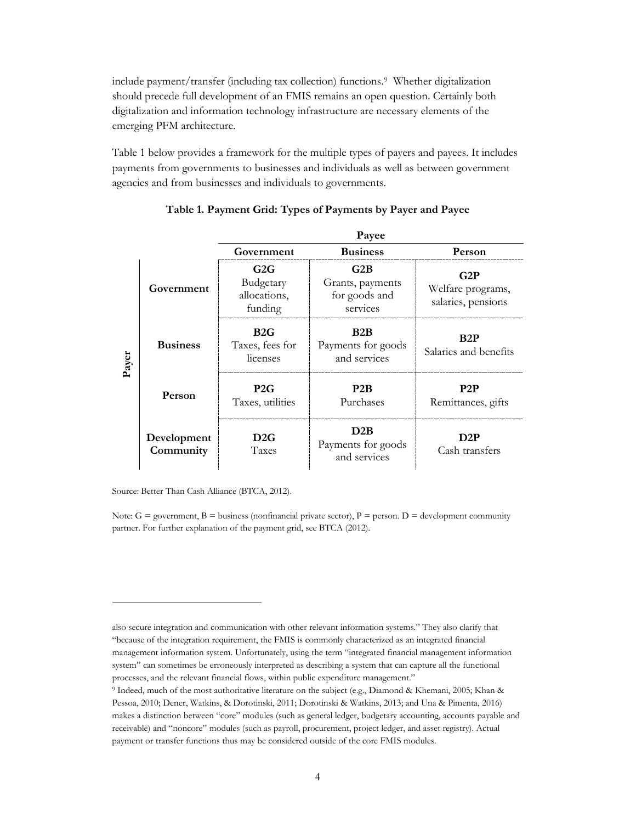include payment/transfer (including tax collection) functions.[9](#page-6-0) Whether digitalization should precede full development of an FMIS remains an open question. Certainly both digitalization and information technology infrastructure are necessary elements of the emerging PFM architecture.

Table 1 below provides a framework for the multiple types of payers and payees. It includes payments from governments to businesses and individuals as well as between government agencies and from businesses and individuals to governments.

|       |                          | Payee                                       |                                                      |                                                |  |  |  |
|-------|--------------------------|---------------------------------------------|------------------------------------------------------|------------------------------------------------|--|--|--|
|       |                          | Government                                  | <b>Business</b>                                      | Person                                         |  |  |  |
| Payer | Government               | G2G<br>Budgetary<br>allocations,<br>funding | G2B<br>Grants, payments<br>for goods and<br>services | G2P<br>Welfare programs,<br>salaries, pensions |  |  |  |
|       | <b>Business</b>          | B2G<br>Taxes, fees for<br>licenses          | B2B<br>Payments for goods<br>and services            | B2P<br>Salaries and benefits                   |  |  |  |
|       | Person                   | P2G<br>Taxes, utilities                     | P2B<br>Purchases                                     | P2P<br>Remittances, gifts                      |  |  |  |
|       | Development<br>Community | D2G<br><b>Taxes</b>                         | D2B<br>Payments for goods<br>and services            | D2P<br>Cash transfers                          |  |  |  |

**Table 1. Payment Grid: Types of Payments by Payer and Payee**

Source: Better Than Cash Alliance (BTCA, 2012).

 $\overline{a}$ 

Note:  $G =$  government,  $B =$  business (nonfinancial private sector),  $P =$  person.  $D =$  development community partner. For further explanation of the payment grid, see BTCA (2012).

also secure integration and communication with other relevant information systems." They also clarify that "because of the integration requirement, the FMIS is commonly characterized as an integrated financial management information system. Unfortunately, using the term "integrated financial management information system" can sometimes be erroneously interpreted as describing a system that can capture all the functional processes, and the relevant financial flows, within public expenditure management."

<span id="page-6-0"></span><sup>9</sup> Indeed, much of the most authoritative literature on the subject (e.g., Diamond & Khemani, 2005; Khan & Pessoa, 2010; Dener, Watkins, & Dorotinski, 2011; Dorotinski & Watkins, 2013; and Una & Pimenta, 2016) makes a distinction between "core" modules (such as general ledger, budgetary accounting, accounts payable and receivable) and "noncore" modules (such as payroll, procurement, project ledger, and asset registry). Actual payment or transfer functions thus may be considered outside of the core FMIS modules.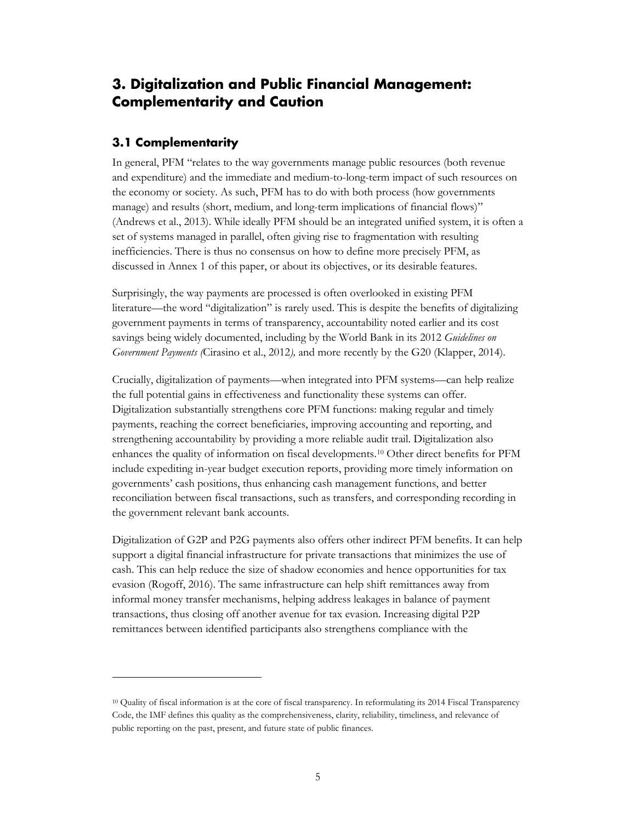# <span id="page-7-0"></span>**3. Digitalization and Public Financial Management: Complementarity and Caution**

#### <span id="page-7-1"></span>**3.1 Complementarity**

 $\overline{a}$ 

In general, PFM "relates to the way governments manage public resources (both revenue and expenditure) and the immediate and medium-to-long-term impact of such resources on the economy or society. As such, PFM has to do with both process (how governments manage) and results (short, medium, and long-term implications of financial flows)" (Andrews et al., 2013). While ideally PFM should be an integrated unified system, it is often a set of systems managed in parallel, often giving rise to fragmentation with resulting inefficiencies. There is thus no consensus on how to define more precisely PFM, as discussed in Annex 1 of this paper, or about its objectives, or its desirable features.

Surprisingly, the way payments are processed is often overlooked in existing PFM literature—the word "digitalization" is rarely used. This is despite the benefits of digitalizing government payments in terms of transparency, accountability noted earlier and its cost savings being widely documented, including by the World Bank in its 2012 *Guidelines on Government Payments (*Cirasino et al., 2012*),* and more recently by the G20 (Klapper, 2014).

Crucially, digitalization of payments—when integrated into PFM systems—can help realize the full potential gains in effectiveness and functionality these systems can offer. Digitalization substantially strengthens core PFM functions: making regular and timely payments, reaching the correct beneficiaries, improving accounting and reporting, and strengthening accountability by providing a more reliable audit trail. Digitalization also enhances the quality of information on fiscal developments.[10](#page-7-2) Other direct benefits for PFM include expediting in-year budget execution reports, providing more timely information on governments' cash positions, thus enhancing cash management functions, and better reconciliation between fiscal transactions, such as transfers, and corresponding recording in the government relevant bank accounts.

Digitalization of G2P and P2G payments also offers other indirect PFM benefits. It can help support a digital financial infrastructure for private transactions that minimizes the use of cash. This can help reduce the size of shadow economies and hence opportunities for tax evasion (Rogoff, 2016). The same infrastructure can help shift remittances away from informal money transfer mechanisms, helping address leakages in balance of payment transactions, thus closing off another avenue for tax evasion. Increasing digital P2P remittances between identified participants also strengthens compliance with the

<span id="page-7-2"></span><sup>10</sup> Quality of fiscal information is at the core of fiscal transparency. In reformulating its 2014 Fiscal Transparency Code, the IMF defines this quality as the comprehensiveness, clarity, reliability, timeliness, and relevance of public reporting on the past, present, and future state of public finances.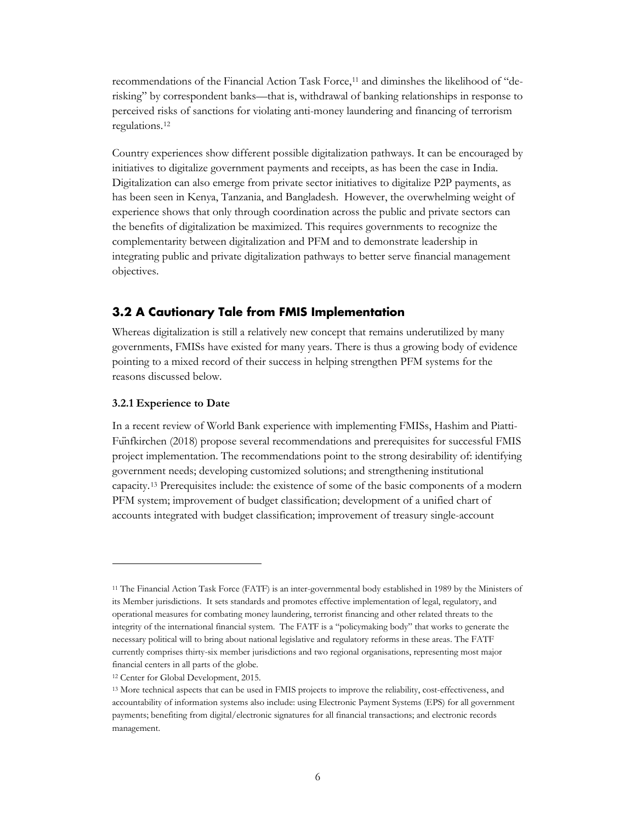recommendations of the Financial Action Task Force,<sup>[11](#page-8-1)</sup> and diminshes the likelihood of "derisking" by correspondent banks—that is, withdrawal of banking relationships in response to perceived risks of sanctions for violating anti-money laundering and financing of terrorism regulations[.12](#page-8-2) 

Country experiences show different possible digitalization pathways. It can be encouraged by initiatives to digitalize government payments and receipts, as has been the case in India. Digitalization can also emerge from private sector initiatives to digitalize P2P payments, as has been seen in Kenya, Tanzania, and Bangladesh. However, the overwhelming weight of experience shows that only through coordination across the public and private sectors can the benefits of digitalization be maximized. This requires governments to recognize the complementarity between digitalization and PFM and to demonstrate leadership in integrating public and private digitalization pathways to better serve financial management objectives.

#### <span id="page-8-0"></span>**3.2 A Cautionary Tale from FMIS Implementation**

Whereas digitalization is still a relatively new concept that remains underutilized by many governments, FMISs have existed for many years. There is thus a growing body of evidence pointing to a mixed record of their success in helping strengthen PFM systems for the reasons discussed below.

#### **3.2.1 Experience to Date**

 $\overline{a}$ 

In a recent review of World Bank experience with implementing FMISs, Hashim and Piatti-Fünfkirchen (2018) propose several recommendations and prerequisites for successful FMIS project implementation. The recommendations point to the strong desirability of: identifying government needs; developing customized solutions; and strengthening institutional capacity.[13](#page-8-3) Prerequisites include: the existence of some of the basic components of a modern PFM system; improvement of budget classification; development of a unified chart of accounts integrated with budget classification; improvement of treasury single-account

<span id="page-8-1"></span><sup>11</sup> The Financial Action Task Force (FATF) is an inter-governmental body established in 1989 by the Ministers of its Member jurisdictions. It sets standards and promotes effective implementation of legal, regulatory, and operational measures for combating money laundering, terrorist financing and other related threats to the integrity of the international financial system. The FATF is a "policymaking body" that works to generate the necessary political will to bring about national legislative and regulatory reforms in these areas. The FATF currently comprises thirty-six member jurisdictions and two regional organisations, representing most major financial centers in all parts of the globe.

<span id="page-8-2"></span><sup>12</sup> Center for Global Development, 2015.

<span id="page-8-3"></span><sup>13</sup> More technical aspects that can be used in FMIS projects to improve the reliability, cost-effectiveness, and accountability of information systems also include: using Electronic Payment Systems (EPS) for all government payments; benefiting from digital/electronic signatures for all financial transactions; and electronic records management.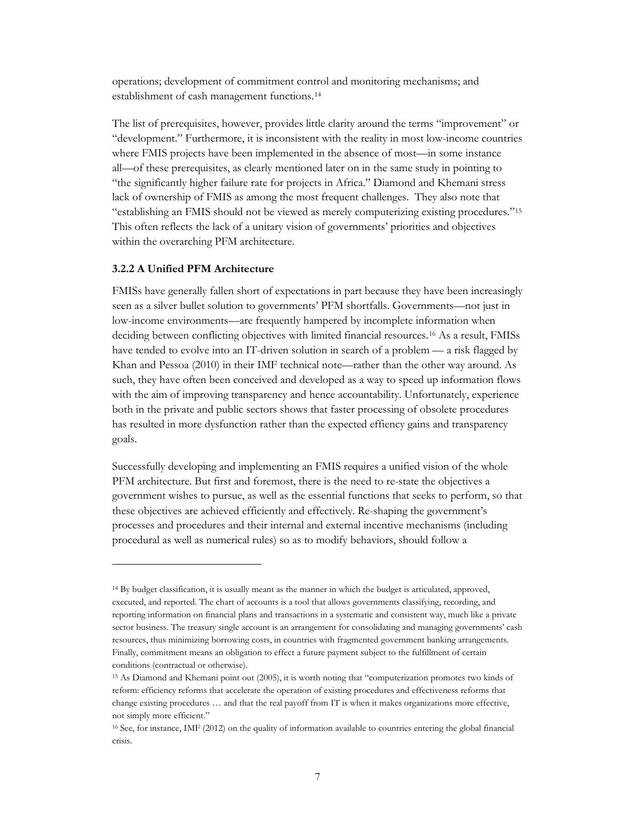operations; development of commitment control and monitoring mechanisms; and establishment of cash management functions.[14](#page-9-0)

The list of prerequisites, however, provides little clarity around the terms "improvement" or "development." Furthermore, it is inconsistent with the reality in most low-income countries where FMIS projects have been implemented in the absence of most—in some instance all—of these prerequisites, as clearly mentioned later on in the same study in pointing to "the significantly higher failure rate for projects in Africa." Diamond and Khemani stress lack of ownership of FMIS as among the most frequent challenges. They also note that "establishing an FMIS should not be viewed as merely computerizing existing procedures."[15](#page-9-1) This often reflects the lack of a unitary vision of governments' priorities and objectives within the overarching PFM architecture.

#### **3.2.2 A Unified PFM Architecture**

 $\overline{a}$ 

FMISs have generally fallen short of expectations in part because they have been increasingly seen as a silver bullet solution to governments' PFM shortfalls. Governments—not just in low-income environments—are frequently hampered by incomplete information when deciding between conflicting objectives with limited financial resources.<sup>[16](#page-9-2)</sup> As a result, FMISs have tended to evolve into an IT-driven solution in search of a problem — a risk flagged by Khan and Pessoa (2010) in their IMF technical note—rather than the other way around. As such, they have often been conceived and developed as a way to speed up information flows with the aim of improving transparency and hence accountability. Unfortunately, experience both in the private and public sectors shows that faster processing of obsolete procedures has resulted in more dysfunction rather than the expected effiency gains and transparency goals.

Successfully developing and implementing an FMIS requires a unified vision of the whole PFM architecture. But first and foremost, there is the need to re-state the objectives a government wishes to pursue, as well as the essential functions that seeks to perform, so that these objectives are achieved efficiently and effectively. Re-shaping the government's processes and procedures and their internal and external incentive mechanisms (including procedural as well as numerical rules) so as to modify behaviors, should follow a

<span id="page-9-0"></span><sup>14</sup> By budget classification, it is usually meant as the manner in which the budget is articulated, approved, executed, and reported. The chart of accounts is a tool that allows governments classifying, recording, and reporting information on financial plans and transactions in a systematic and consistent way, much like a private sector business. The treasury single account is an arrangement for consolidating and managing governments' cash resources, thus minimizing borrowing costs, in countries with fragmented government banking arrangements. Finally, commitment means an obligation to effect a future payment subject to the fulfillment of certain conditions (contractual or otherwise).

<span id="page-9-1"></span><sup>15</sup> As Diamond and Khemani point out (2005), it is worth noting that "computerization promotes two kinds of reform: efficiency reforms that accelerate the operation of existing procedures and effectiveness reforms that change existing procedures … and that the real payoff from IT is when it makes organizations more effective, not simply more efficient."

<span id="page-9-2"></span><sup>16</sup> See, for instance, IMF (2012) on the quality of information available to countries entering the global financial crisis.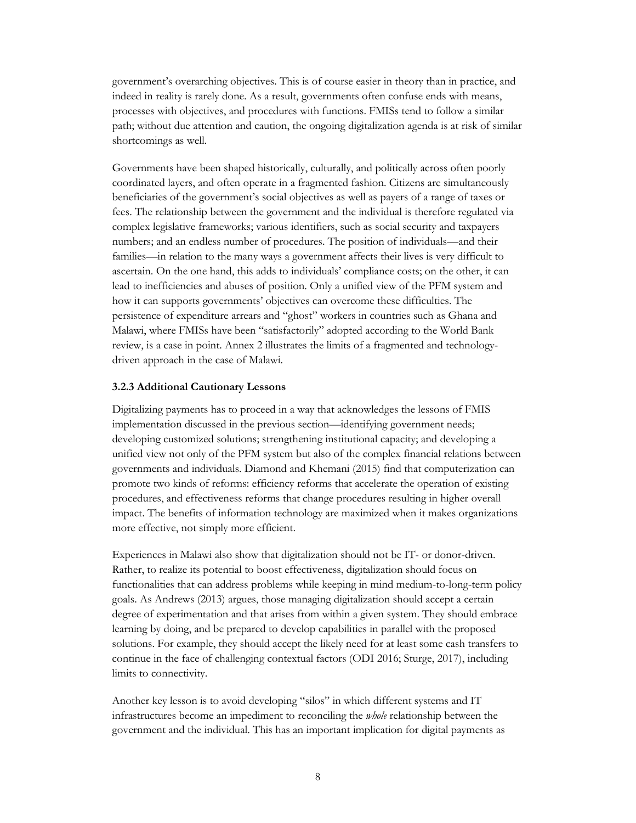government's overarching objectives. This is of course easier in theory than in practice, and indeed in reality is rarely done. As a result, governments often confuse ends with means, processes with objectives, and procedures with functions. FMISs tend to follow a similar path; without due attention and caution, the ongoing digitalization agenda is at risk of similar shortcomings as well.

Governments have been shaped historically, culturally, and politically across often poorly coordinated layers, and often operate in a fragmented fashion. Citizens are simultaneously beneficiaries of the government's social objectives as well as payers of a range of taxes or fees. The relationship between the government and the individual is therefore regulated via complex legislative frameworks; various identifiers, such as social security and taxpayers numbers; and an endless number of procedures. The position of individuals—and their families—in relation to the many ways a government affects their lives is very difficult to ascertain. On the one hand, this adds to individuals' compliance costs; on the other, it can lead to inefficiencies and abuses of position. Only a unified view of the PFM system and how it can supports governments' objectives can overcome these difficulties. The persistence of expenditure arrears and "ghost" workers in countries such as Ghana and Malawi, where FMISs have been "satisfactorily" adopted according to the World Bank review, is a case in point. Annex 2 illustrates the limits of a fragmented and technologydriven approach in the case of Malawi.

#### **3.2.3 Additional Cautionary Lessons**

Digitalizing payments has to proceed in a way that acknowledges the lessons of FMIS implementation discussed in the previous section—identifying government needs; developing customized solutions; strengthening institutional capacity; and developing a unified view not only of the PFM system but also of the complex financial relations between governments and individuals. Diamond and Khemani (2015) find that computerization can promote two kinds of reforms: efficiency reforms that accelerate the operation of existing procedures, and effectiveness reforms that change procedures resulting in higher overall impact. The benefits of information technology are maximized when it makes organizations more effective, not simply more efficient.

Experiences in Malawi also show that digitalization should not be IT- or donor-driven. Rather, to realize its potential to boost effectiveness, digitalization should focus on functionalities that can address problems while keeping in mind medium-to-long-term policy goals. As Andrews (2013) argues, those managing digitalization should accept a certain degree of experimentation and that arises from within a given system. They should embrace learning by doing, and be prepared to develop capabilities in parallel with the proposed solutions. For example, they should accept the likely need for at least some cash transfers to continue in the face of challenging contextual factors (ODI 2016; Sturge, 2017), including limits to connectivity.

Another key lesson is to avoid developing "silos" in which different systems and IT infrastructures become an impediment to reconciling the *whole* relationship between the government and the individual. This has an important implication for digital payments as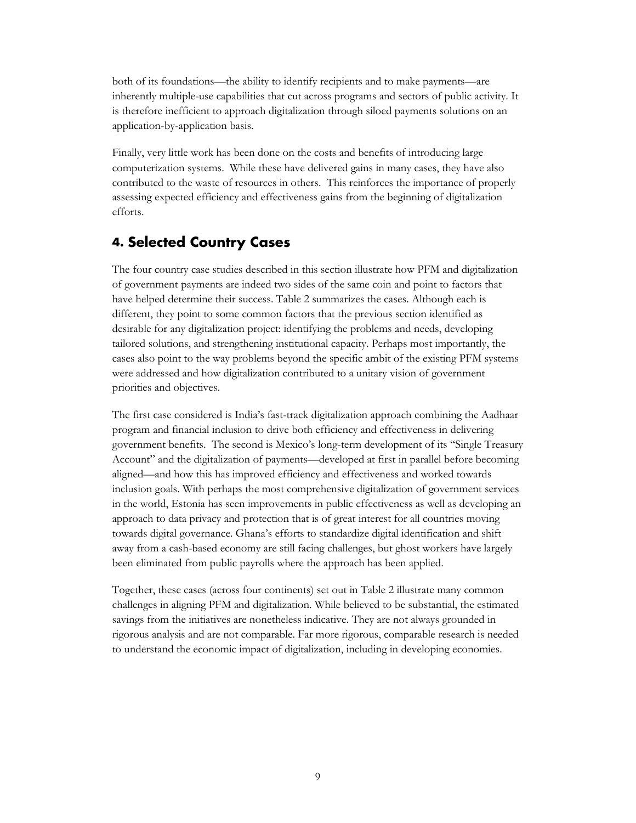both of its foundations—the ability to identify recipients and to make payments—are inherently multiple-use capabilities that cut across programs and sectors of public activity. It is therefore inefficient to approach digitalization through siloed payments solutions on an application-by-application basis.

Finally, very little work has been done on the costs and benefits of introducing large computerization systems. While these have delivered gains in many cases, they have also contributed to the waste of resources in others. This reinforces the importance of properly assessing expected efficiency and effectiveness gains from the beginning of digitalization efforts.

# <span id="page-11-0"></span>**4. Selected Country Cases**

The four country case studies described in this section illustrate how PFM and digitalization of government payments are indeed two sides of the same coin and point to factors that have helped determine their success. Table 2 summarizes the cases. Although each is different, they point to some common factors that the previous section identified as desirable for any digitalization project: identifying the problems and needs, developing tailored solutions, and strengthening institutional capacity. Perhaps most importantly, the cases also point to the way problems beyond the specific ambit of the existing PFM systems were addressed and how digitalization contributed to a unitary vision of government priorities and objectives.

The first case considered is India's fast-track digitalization approach combining the Aadhaar program and financial inclusion to drive both efficiency and effectiveness in delivering government benefits. The second is Mexico's long-term development of its "Single Treasury Account" and the digitalization of payments—developed at first in parallel before becoming aligned—and how this has improved efficiency and effectiveness and worked towards inclusion goals. With perhaps the most comprehensive digitalization of government services in the world, Estonia has seen improvements in public effectiveness as well as developing an approach to data privacy and protection that is of great interest for all countries moving towards digital governance. Ghana's efforts to standardize digital identification and shift away from a cash-based economy are still facing challenges, but ghost workers have largely been eliminated from public payrolls where the approach has been applied.

Together, these cases (across four continents) set out in Table 2 illustrate many common challenges in aligning PFM and digitalization. While believed to be substantial, the estimated savings from the initiatives are nonetheless indicative. They are not always grounded in rigorous analysis and are not comparable. Far more rigorous, comparable research is needed to understand the economic impact of digitalization, including in developing economies.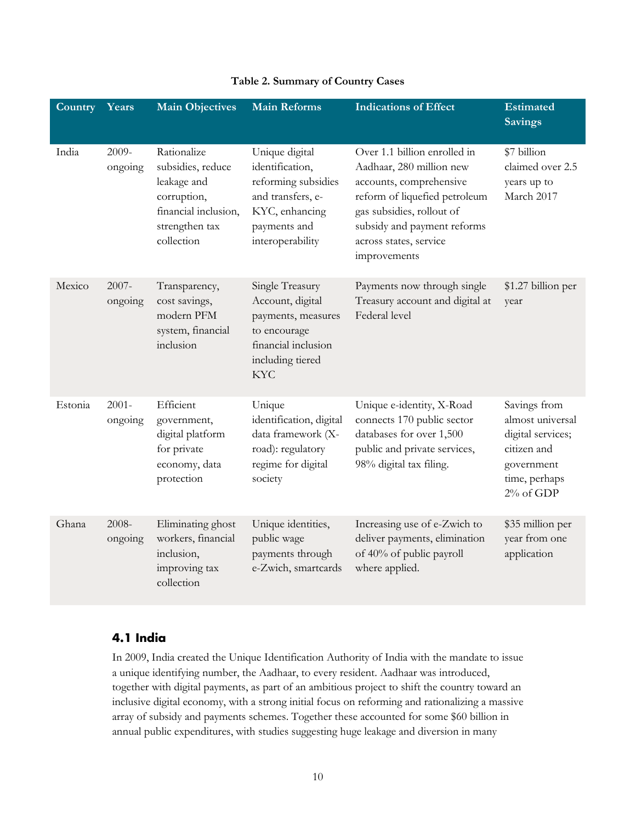| Country | Years               | <b>Main Objectives</b>                                                                                                 | <b>Main Reforms</b>                                                                                                                 | <b>Indications of Effect</b>                                                                                                                                                                                               | <b>Estimated</b><br><b>Savings</b>                                                                               |
|---------|---------------------|------------------------------------------------------------------------------------------------------------------------|-------------------------------------------------------------------------------------------------------------------------------------|----------------------------------------------------------------------------------------------------------------------------------------------------------------------------------------------------------------------------|------------------------------------------------------------------------------------------------------------------|
| India   | 2009-<br>ongoing    | Rationalize<br>subsidies, reduce<br>leakage and<br>corruption,<br>financial inclusion,<br>strengthen tax<br>collection | Unique digital<br>identification,<br>reforming subsidies<br>and transfers, e-<br>KYC, enhancing<br>payments and<br>interoperability | Over 1.1 billion enrolled in<br>Aadhaar, 280 million new<br>accounts, comprehensive<br>reform of liquefied petroleum<br>gas subsidies, rollout of<br>subsidy and payment reforms<br>across states, service<br>improvements | \$7 billion<br>claimed over 2.5<br>years up to<br>March 2017                                                     |
| Mexico  | $2007 -$<br>ongoing | Transparency,<br>cost savings,<br>modern PFM<br>system, financial<br>inclusion                                         | Single Treasury<br>Account, digital<br>payments, measures<br>to encourage<br>financial inclusion<br>including tiered<br><b>KYC</b>  | Payments now through single<br>Treasury account and digital at<br>Federal level                                                                                                                                            | \$1.27 billion per<br>year                                                                                       |
| Estonia | $2001 -$<br>ongoing | Efficient<br>government,<br>digital platform<br>for private<br>economy, data<br>protection                             | Unique<br>identification, digital<br>data framework (X-<br>road): regulatory<br>regime for digital<br>society                       | Unique e-identity, X-Road<br>connects 170 public sector<br>databases for over 1,500<br>public and private services,<br>98% digital tax filing.                                                                             | Savings from<br>almost universal<br>digital services;<br>citizen and<br>government<br>time, perhaps<br>2% of GDP |
| Ghana   | 2008-<br>ongoing    | Eliminating ghost<br>workers, financial<br>inclusion,<br>improving tax<br>collection                                   | Unique identities,<br>public wage<br>payments through<br>e-Zwich, smartcards                                                        | Increasing use of e-Zwich to<br>deliver payments, elimination<br>of 40% of public payroll<br>where applied.                                                                                                                | \$35 million per<br>year from one<br>application                                                                 |

#### **Table 2. Summary of Country Cases**

#### <span id="page-12-0"></span>**4.1 India**

In 2009, India created the Unique Identification Authority of India with the mandate to issue a unique identifying number, the Aadhaar, to every resident. Aadhaar was introduced, together with digital payments, as part of an ambitious project to shift the country toward an inclusive digital economy, with a strong initial focus on reforming and rationalizing a massive array of subsidy and payments schemes. Together these accounted for some \$60 billion in annual public expenditures, with studies suggesting huge leakage and diversion in many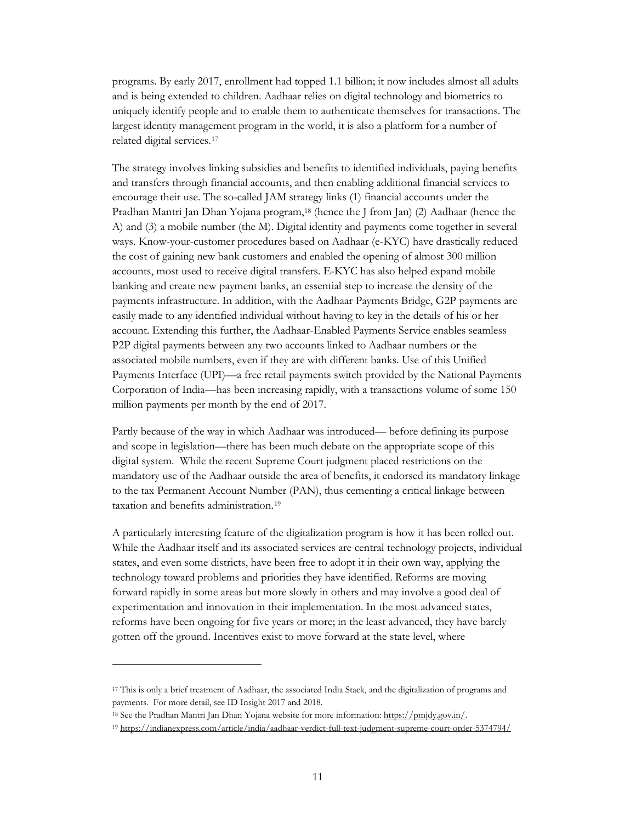programs. By early 2017, enrollment had topped 1.1 billion; it now includes almost all adults and is being extended to children. Aadhaar relies on digital technology and biometrics to uniquely identify people and to enable them to authenticate themselves for transactions. The largest identity management program in the world, it is also a platform for a number of related digital services.[17](#page-13-0)

The strategy involves linking subsidies and benefits to identified individuals, paying benefits and transfers through financial accounts, and then enabling additional financial services to encourage their use. The so-called JAM strategy links (1) financial accounts under the Pradhan Mantri Jan Dhan Yojana program,[18](#page-13-1) (hence the J from Jan) (2) Aadhaar (hence the A) and (3) a mobile number (the M). Digital identity and payments come together in several ways. Know-your-customer procedures based on Aadhaar (e-KYC) have drastically reduced the cost of gaining new bank customers and enabled the opening of almost 300 million accounts, most used to receive digital transfers. E-KYC has also helped expand mobile banking and create new payment banks, an essential step to increase the density of the payments infrastructure. In addition, with the Aadhaar Payments Bridge, G2P payments are easily made to any identified individual without having to key in the details of his or her account. Extending this further, the Aadhaar-Enabled Payments Service enables seamless P2P digital payments between any two accounts linked to Aadhaar numbers or the associated mobile numbers, even if they are with different banks. Use of this Unified Payments Interface (UPI)—a free retail payments switch provided by the National Payments Corporation of India—has been increasing rapidly, with a transactions volume of some 150 million payments per month by the end of 2017.

Partly because of the way in which Aadhaar was introduced— before defining its purpose and scope in legislation—there has been much debate on the appropriate scope of this digital system. While the recent Supreme Court judgment placed restrictions on the mandatory use of the Aadhaar outside the area of benefits, it endorsed its mandatory linkage to the tax Permanent Account Number (PAN), thus cementing a critical linkage between taxation and benefits administration.[19](#page-13-2)

A particularly interesting feature of the digitalization program is how it has been rolled out. While the Aadhaar itself and its associated services are central technology projects, individual states, and even some districts, have been free to adopt it in their own way, applying the technology toward problems and priorities they have identified. Reforms are moving forward rapidly in some areas but more slowly in others and may involve a good deal of experimentation and innovation in their implementation. In the most advanced states, reforms have been ongoing for five years or more; in the least advanced, they have barely gotten off the ground. Incentives exist to move forward at the state level, where

<span id="page-13-0"></span><sup>17</sup> This is only a brief treatment of Aadhaar, the associated India Stack, and the digitalization of programs and payments. For more detail, see ID Insight 2017 and 2018.

<span id="page-13-1"></span><sup>18</sup> See the Pradhan Mantri Jan Dhan Yojana website for more information: [https://pmjdy.gov.in/.](https://pmjdy.gov.in/)

<span id="page-13-2"></span><sup>19</sup> <https://indianexpress.com/article/india/aadhaar-verdict-full-text-judgment-supreme-court-order-5374794/>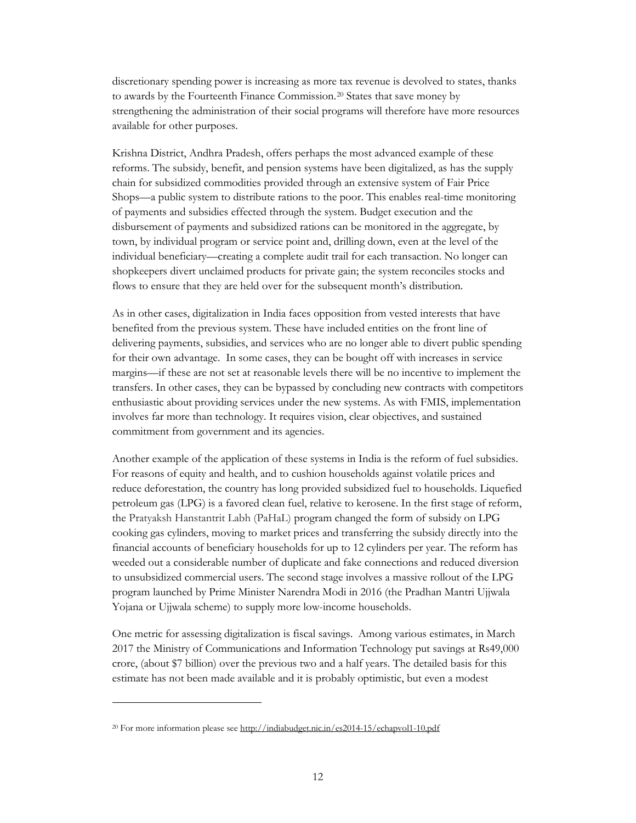discretionary spending power is increasing as more tax revenue is devolved to states, thanks to awards by the Fourteenth Finance Commission.[20](#page-14-0) States that save money by strengthening the administration of their social programs will therefore have more resources available for other purposes.

Krishna District, Andhra Pradesh, offers perhaps the most advanced example of these reforms. The subsidy, benefit, and pension systems have been digitalized, as has the supply chain for subsidized commodities provided through an extensive system of Fair Price Shops—a public system to distribute rations to the poor. This enables real-time monitoring of payments and subsidies effected through the system. Budget execution and the disbursement of payments and subsidized rations can be monitored in the aggregate, by town, by individual program or service point and, drilling down, even at the level of the individual beneficiary—creating a complete audit trail for each transaction. No longer can shopkeepers divert unclaimed products for private gain; the system reconciles stocks and flows to ensure that they are held over for the subsequent month's distribution.

As in other cases, digitalization in India faces opposition from vested interests that have benefited from the previous system. These have included entities on the front line of delivering payments, subsidies, and services who are no longer able to divert public spending for their own advantage. In some cases, they can be bought off with increases in service margins—if these are not set at reasonable levels there will be no incentive to implement the transfers. In other cases, they can be bypassed by concluding new contracts with competitors enthusiastic about providing services under the new systems. As with FMIS, implementation involves far more than technology. It requires vision, clear objectives, and sustained commitment from government and its agencies.

Another example of the application of these systems in India is the reform of fuel subsidies. For reasons of equity and health, and to cushion households against volatile prices and reduce deforestation, the country has long provided subsidized fuel to households. Liquefied petroleum gas (LPG) is a favored clean fuel, relative to kerosene. In the first stage of reform, the Pratyaksh Hanstantrit Labh (PaHaL) program changed the form of subsidy on LPG cooking gas cylinders, moving to market prices and transferring the subsidy directly into the financial accounts of beneficiary households for up to 12 cylinders per year. The reform has weeded out a considerable number of duplicate and fake connections and reduced diversion to unsubsidized commercial users. The second stage involves a massive rollout of the LPG program launched by Prime Minister Narendra Modi in 2016 (the Pradhan Mantri Ujjwala Yojana or Ujjwala scheme) to supply more low-income households.

One metric for assessing digitalization is fiscal savings. Among various estimates, in March 2017 the Ministry of Communications and Information Technology put savings at Rs49,000 crore, (about \$7 billion) over the previous two and a half years. The detailed basis for this estimate has not been made available and it is probably optimistic, but even a modest

<span id="page-14-0"></span><sup>20</sup> For more information please see http://indiabudget.nic.in/es2014-15/echapvol1-10.pdf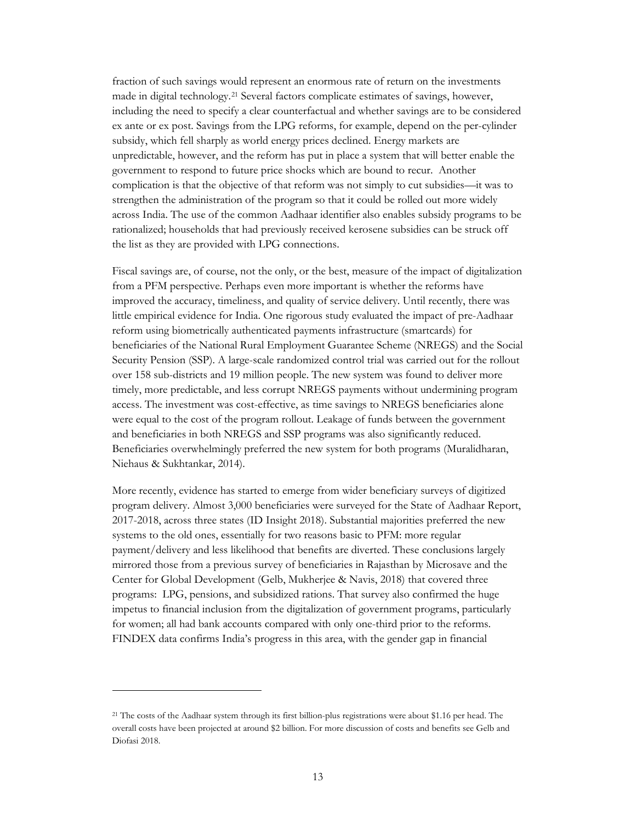fraction of such savings would represent an enormous rate of return on the investments made in digital technology.[21](#page-15-0) Several factors complicate estimates of savings, however, including the need to specify a clear counterfactual and whether savings are to be considered ex ante or ex post. Savings from the LPG reforms, for example, depend on the per-cylinder subsidy, which fell sharply as world energy prices declined. Energy markets are unpredictable, however, and the reform has put in place a system that will better enable the government to respond to future price shocks which are bound to recur. Another complication is that the objective of that reform was not simply to cut subsidies—it was to strengthen the administration of the program so that it could be rolled out more widely across India. The use of the common Aadhaar identifier also enables subsidy programs to be rationalized; households that had previously received kerosene subsidies can be struck off the list as they are provided with LPG connections.

Fiscal savings are, of course, not the only, or the best, measure of the impact of digitalization from a PFM perspective. Perhaps even more important is whether the reforms have improved the accuracy, timeliness, and quality of service delivery. Until recently, there was little empirical evidence for India. One rigorous study evaluated the impact of pre-Aadhaar reform using biometrically authenticated payments infrastructure (smartcards) for beneficiaries of the National Rural Employment Guarantee Scheme (NREGS) and the Social Security Pension (SSP). A large-scale randomized control trial was carried out for the rollout over 158 sub-districts and 19 million people. The new system was found to deliver more timely, more predictable, and less corrupt NREGS payments without undermining program access. The investment was cost-effective, as time savings to NREGS beneficiaries alone were equal to the cost of the program rollout. Leakage of funds between the government and beneficiaries in both NREGS and SSP programs was also significantly reduced. Beneficiaries overwhelmingly preferred the new system for both programs (Muralidharan, Niehaus & Sukhtankar, 2014).

More recently, evidence has started to emerge from wider beneficiary surveys of digitized program delivery. Almost 3,000 beneficiaries were surveyed for the State of Aadhaar Report, 2017-2018, across three states (ID Insight 2018). Substantial majorities preferred the new systems to the old ones, essentially for two reasons basic to PFM: more regular payment/delivery and less likelihood that benefits are diverted. These conclusions largely mirrored those from a previous survey of beneficiaries in Rajasthan by Microsave and the Center for Global Development (Gelb, Mukherjee & Navis, 2018) that covered three programs: LPG, pensions, and subsidized rations. That survey also confirmed the huge impetus to financial inclusion from the digitalization of government programs, particularly for women; all had bank accounts compared with only one-third prior to the reforms. FINDEX data confirms India's progress in this area, with the gender gap in financial

<span id="page-15-0"></span><sup>21</sup> The costs of the Aadhaar system through its first billion-plus registrations were about \$1.16 per head. The overall costs have been projected at around \$2 billion. For more discussion of costs and benefits see Gelb and Diofasi 2018.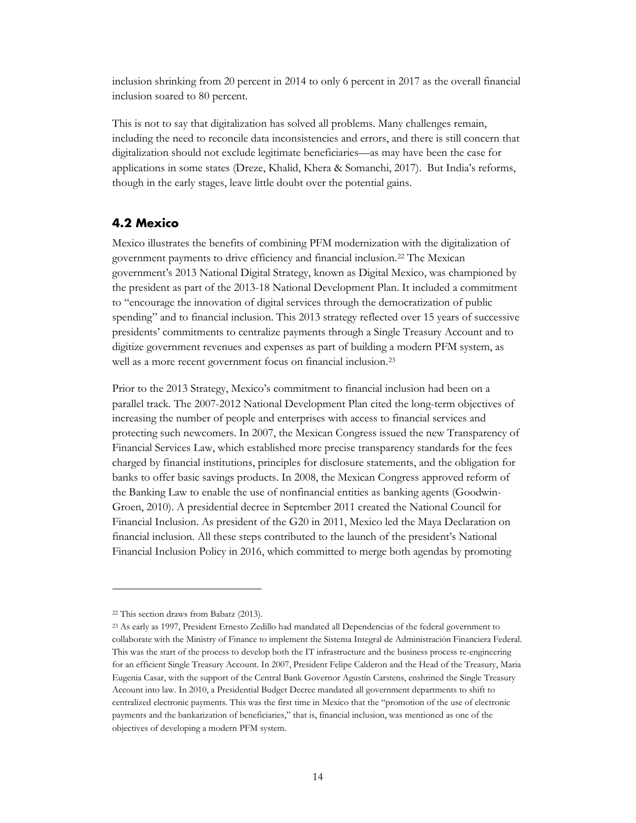inclusion shrinking from 20 percent in 2014 to only 6 percent in 2017 as the overall financial inclusion soared to 80 percent.

This is not to say that digitalization has solved all problems. Many challenges remain, including the need to reconcile data inconsistencies and errors, and there is still concern that digitalization should not exclude legitimate beneficiaries—as may have been the case for applications in some states (Dreze, Khalid, Khera & Somanchi, 2017). But India's reforms, though in the early stages, leave little doubt over the potential gains.

#### <span id="page-16-0"></span>**4.2 Mexico**

Mexico illustrates the benefits of combining PFM modernization with the digitalization of government payments to drive efficiency and financial inclusion.[22](#page-16-1) The Mexican government's 2013 National Digital Strategy, known as Digital Mexico, was championed by the president as part of the 2013-18 National Development Plan. It included a commitment to "encourage the innovation of digital services through the democratization of public spending" and to financial inclusion. This 2013 strategy reflected over 15 years of successive presidents' commitments to centralize payments through a Single Treasury Account and to digitize government revenues and expenses as part of building a modern PFM system, as well as a more recent government focus on financial inclusion.[23](#page-16-2)

Prior to the 2013 Strategy, Mexico's commitment to financial inclusion had been on a parallel track. The 2007-2012 National Development Plan cited the long-term objectives of increasing the number of people and enterprises with access to financial services and protecting such newcomers. In 2007, the Mexican Congress issued the new Transparency of Financial Services Law, which established more precise transparency standards for the fees charged by financial institutions, principles for disclosure statements, and the obligation for banks to offer basic savings products. In 2008, the Mexican Congress approved reform of the Banking Law to enable the use of nonfinancial entities as banking agents (Goodwin-Groen, 2010). A presidential decree in September 2011 created the National Council for Financial Inclusion. As president of the G20 in 2011, Mexico led the Maya Declaration on financial inclusion. All these steps contributed to the launch of the president's National Financial Inclusion Policy in 2016, which committed to merge both agendas by promoting

<span id="page-16-1"></span><sup>22</sup> This section draws from Babatz (2013).

<span id="page-16-2"></span><sup>23</sup> As early as 1997, President Ernesto Zedillo had mandated all Dependencias of the federal government to collaborate with the Ministry of Finance to implement the Sistema Integral de Administración Financiera Federal. This was the start of the process to develop both the IT infrastructure and the business process re-engineering for an efficient Single Treasury Account. In 2007, President Felipe Calderon and the Head of the Treasury, Maria Eugenia Casar, with the support of the Central Bank Governor Agustín Carstens, enshrined the Single Treasury Account into law. In 2010, a Presidential Budget Decree mandated all government departments to shift to centralized electronic payments. This was the first time in Mexico that the "promotion of the use of electronic payments and the bankarization of beneficiaries," that is, financial inclusion, was mentioned as one of the objectives of developing a modern PFM system.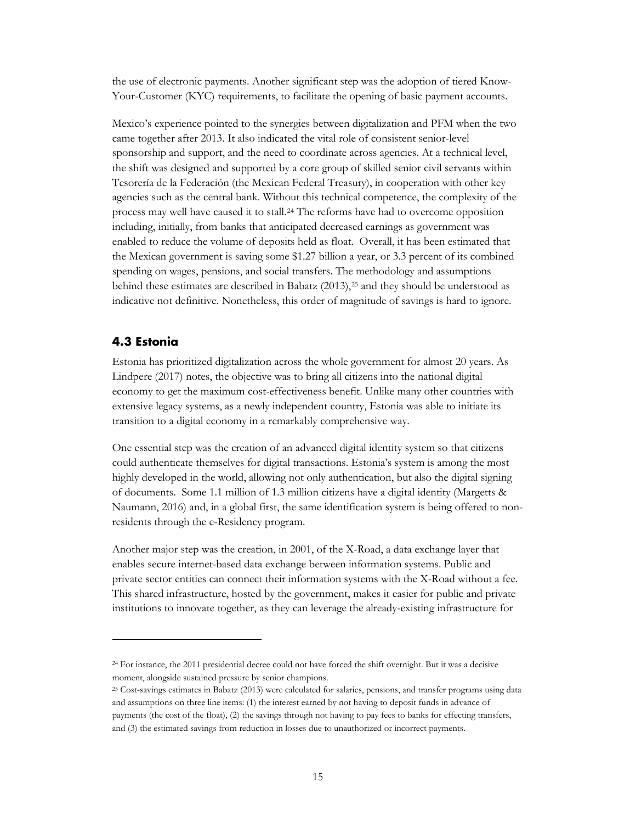the use of electronic payments. Another significant step was the adoption of tiered Know-Your-Customer (KYC) requirements, to facilitate the opening of basic payment accounts.

Mexico's experience pointed to the synergies between digitalization and PFM when the two came together after 2013. It also indicated the vital role of consistent senior-level sponsorship and support, and the need to coordinate across agencies. At a technical level, the shift was designed and supported by a core group of skilled senior civil servants within Tesorería de la Federación (the Mexican Federal Treasury), in cooperation with other key agencies such as the central bank. Without this technical competence, the complexity of the process may well have caused it to stall[.24](#page-17-1) The reforms have had to overcome opposition including, initially, from banks that anticipated decreased earnings as government was enabled to reduce the volume of deposits held as float. Overall, it has been estimated that the Mexican government is saving some \$1.27 billion a year, or 3.3 percent of its combined spending on wages, pensions, and social transfers. The methodology and assumptions behind these estimates are described in Babatz (2013),<sup>25</sup> and they should be understood as indicative not definitive. Nonetheless, this order of magnitude of savings is hard to ignore.

#### <span id="page-17-0"></span>**4.3 Estonia**

 $\ddot{\phantom{a}}$ 

Estonia has prioritized digitalization across the whole government for almost 20 years. As Lindpere (2017) notes, the objective was to bring all citizens into the national digital economy to get the maximum cost-effectiveness benefit. Unlike many other countries with extensive legacy systems, as a newly independent country, Estonia was able to initiate its transition to a digital economy in a remarkably comprehensive way.

One essential step was the creation of an advanced digital identity system so that citizens could authenticate themselves for digital transactions. Estonia's system is among the most highly developed in the world, allowing not only authentication, but also the digital signing of documents. Some 1.1 million of 1.3 million citizens have a digital identity (Margetts & Naumann, 2016) and, in a global first, the same identification system is being offered to nonresidents through the e-Residency program.

Another major step was the creation, in 2001, of the X-Road, a data exchange layer that enables secure internet-based data exchange between information systems. Public and private sector entities can connect their information systems with the X-Road without a fee. This shared infrastructure, hosted by the government, makes it easier for public and private institutions to innovate together, as they can leverage the already-existing infrastructure for

<span id="page-17-1"></span><sup>24</sup> For instance, the 2011 presidential decree could not have forced the shift overnight. But it was a decisive moment, alongside sustained pressure by senior champions.

<span id="page-17-2"></span><sup>25</sup> Cost-savings estimates in Babatz (2013) were calculated for salaries, pensions, and transfer programs using data and assumptions on three line items: (1) the interest earned by not having to deposit funds in advance of payments (the cost of the float), (2) the savings through not having to pay fees to banks for effecting transfers, and (3) the estimated savings from reduction in losses due to unauthorized or incorrect payments.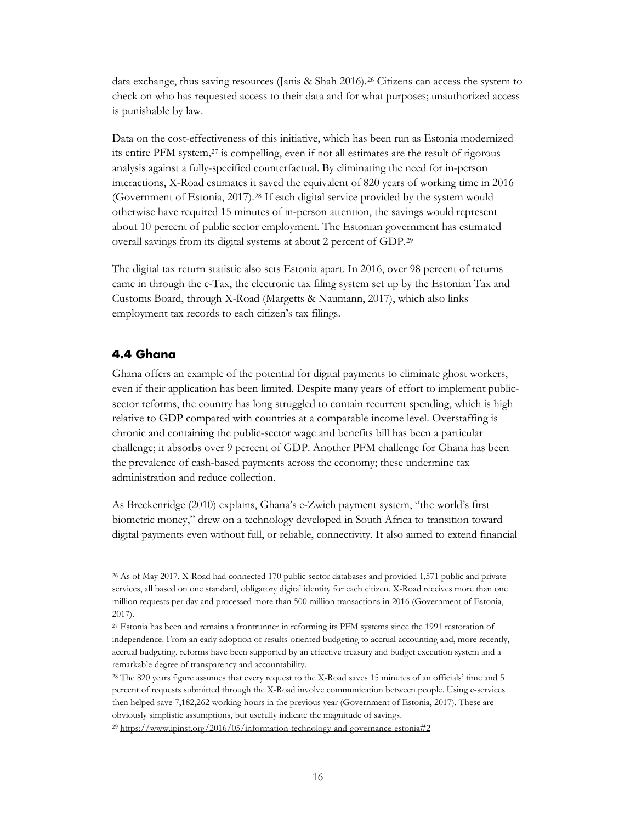data exchange, thus saving resources (Janis & Shah 2016).[26](#page-18-1) Citizens can access the system to check on who has requested access to their data and for what purposes; unauthorized access is punishable by law.

Data on the cost-effectiveness of this initiative, which has been run as Estonia modernized its entire PFM system,<sup>[27](#page-18-2)</sup> is compelling, even if not all estimates are the result of rigorous analysis against a fully-specified counterfactual. By eliminating the need for in-person interactions, X-Road estimates it saved the equivalent of 820 years of working time in 2016 (Government of Estonia, 2017).[28](#page-18-3) If each digital service provided by the system would otherwise have required 15 minutes of in-person attention, the savings would represent about 10 percent of public sector employment. The Estonian government has estimated overall savings from its digital systems at about 2 percent of GDP.[29](#page-18-4)

The digital tax return statistic also sets Estonia apart. In 2016, over 98 percent of returns came in through the e-Tax, the electronic tax filing system set up by the Estonian Tax and Customs Board, through X-Road (Margetts & Naumann, 2017), which also links employment tax records to each citizen's tax filings.

#### <span id="page-18-0"></span>**4.4 Ghana**

 $\overline{a}$ 

Ghana offers an example of the potential for digital payments to eliminate ghost workers, even if their application has been limited. Despite many years of effort to implement publicsector reforms, the country has long struggled to contain recurrent spending, which is high relative to GDP compared with countries at a comparable income level. Overstaffing is chronic and containing the public-sector wage and benefits bill has been a particular challenge; it absorbs over 9 percent of GDP. Another PFM challenge for Ghana has been the prevalence of cash-based payments across the economy; these undermine tax administration and reduce collection.

As Breckenridge (2010) explains, Ghana's e-Zwich payment system, "the world's first biometric money," drew on a technology developed in South Africa to transition toward digital payments even without full, or reliable, connectivity. It also aimed to extend financial

<span id="page-18-1"></span><sup>26</sup> As of May 2017, X-Road had connected 170 public sector databases and provided 1,571 public and private services, all based on one standard, obligatory digital identity for each citizen. X-Road receives more than one million requests per day and processed more than 500 million transactions in 2016 (Government of Estonia, 2017).

<span id="page-18-2"></span><sup>27</sup> Estonia has been and remains a frontrunner in reforming its PFM systems since the 1991 restoration of independence. From an early adoption of results-oriented budgeting to accrual accounting and, more recently, accrual budgeting, reforms have been supported by an effective treasury and budget execution system and a remarkable degree of transparency and accountability.

<span id="page-18-3"></span><sup>&</sup>lt;sup>28</sup> The 820 years figure assumes that every request to the X-Road saves 15 minutes of an officials' time and 5 percent of requests submitted through the X-Road involve communication between people. Using e-services then helped save 7,182,262 working hours in the previous year (Government of Estonia, 2017). These are obviously simplistic assumptions, but usefully indicate the magnitude of savings.

<span id="page-18-4"></span><sup>29</sup> <https://www.ipinst.org/2016/05/information-technology-and-governance-estonia#2>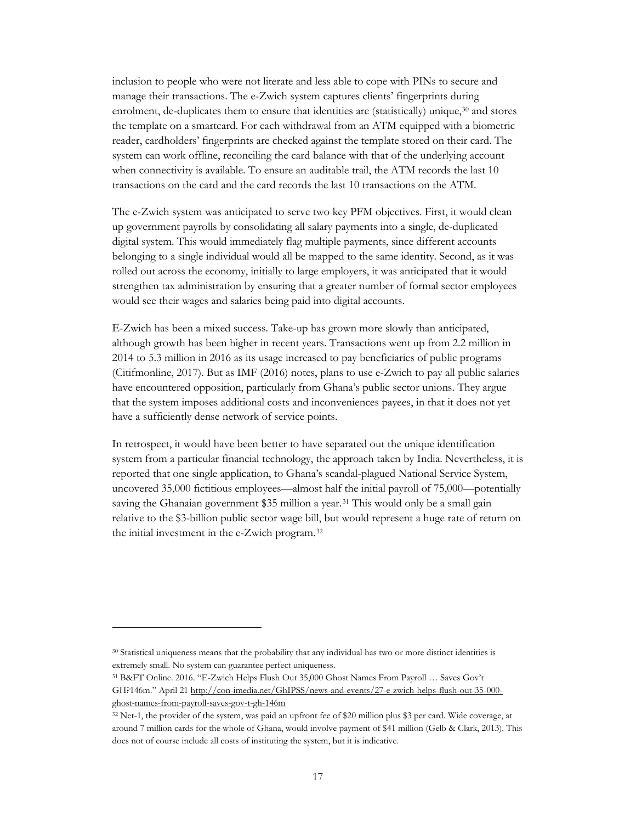inclusion to people who were not literate and less able to cope with PINs to secure and manage their transactions. The e-Zwich system captures clients' fingerprints during enrolment, de-duplicates them to ensure that identities are (statistically) unique,<sup>[30](#page-19-0)</sup> and stores the template on a smartcard. For each withdrawal from an ATM equipped with a biometric reader, cardholders' fingerprints are checked against the template stored on their card. The system can work offline, reconciling the card balance with that of the underlying account when connectivity is available. To ensure an auditable trail, the ATM records the last 10 transactions on the card and the card records the last 10 transactions on the ATM.

The e-Zwich system was anticipated to serve two key PFM objectives. First, it would clean up government payrolls by consolidating all salary payments into a single, de-duplicated digital system. This would immediately flag multiple payments, since different accounts belonging to a single individual would all be mapped to the same identity. Second, as it was rolled out across the economy, initially to large employers, it was anticipated that it would strengthen tax administration by ensuring that a greater number of formal sector employees would see their wages and salaries being paid into digital accounts.

E-Zwich has been a mixed success. Take-up has grown more slowly than anticipated, although growth has been higher in recent years. Transactions went up from 2.2 million in 2014 to 5.3 million in 2016 as its usage increased to pay beneficiaries of public programs (Citifmonline, 2017). But as IMF (2016) notes, plans to use e-Zwich to pay all public salaries have encountered opposition, particularly from Ghana's public sector unions. They argue that the system imposes additional costs and inconveniences payees, in that it does not yet have a sufficiently dense network of service points.

In retrospect, it would have been better to have separated out the unique identification system from a particular financial technology, the approach taken by India. Nevertheless, it is reported that one single application, to Ghana's scandal-plagued National Service System, uncovered 35,000 fictitious employees—almost half the initial payroll of 75,000—potentially saving the Ghanaian government \$35 million a year.<sup>[31](#page-19-1)</sup> This would only be a small gain relative to the \$3-billion public sector wage bill, but would represent a huge rate of return on the initial investment in the e-Zwich program[.32](#page-19-2)

 $\ddot{\phantom{a}}$ 

<span id="page-19-1"></span><sup>31</sup> B&FT Online. 2016. "E-Zwich Helps Flush Out 35,000 Ghost Names From Payroll … Saves Gov't GH?146m." April 21 [http://con-imedia.net/GhIPSS/news-and-events/27-e-zwich-helps-flush-out-35-000](http://con-imedia.net/GhIPSS/news-and-events/27-e-zwich-helps-flush-out-35-000-ghost-names-from-payroll-saves-gov-t-gh-146m) [ghost-names-from-payroll-saves-gov-t-gh-146m](http://con-imedia.net/GhIPSS/news-and-events/27-e-zwich-helps-flush-out-35-000-ghost-names-from-payroll-saves-gov-t-gh-146m)

<span id="page-19-0"></span><sup>30</sup> Statistical uniqueness means that the probability that any individual has two or more distinct identities is extremely small. No system can guarantee perfect uniqueness.

<span id="page-19-2"></span><sup>32</sup> Net-1, the provider of the system, was paid an upfront fee of \$20 million plus \$3 per card. Wide coverage, at around 7 million cards for the whole of Ghana, would involve payment of \$41 million (Gelb & Clark, 2013). This does not of course include all costs of instituting the system, but it is indicative.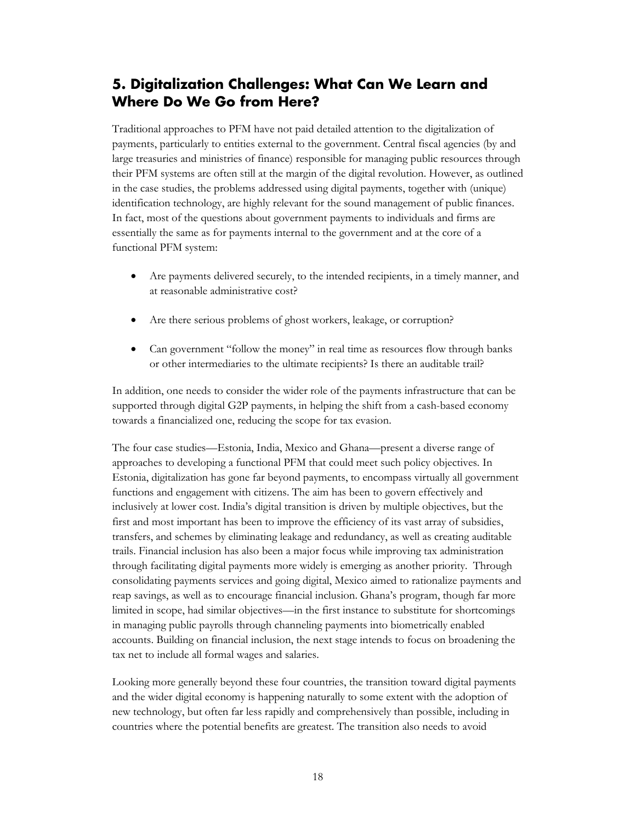# <span id="page-20-0"></span>**5. Digitalization Challenges: What Can We Learn and Where Do We Go from Here?**

Traditional approaches to PFM have not paid detailed attention to the digitalization of payments, particularly to entities external to the government. Central fiscal agencies (by and large treasuries and ministries of finance) responsible for managing public resources through their PFM systems are often still at the margin of the digital revolution. However, as outlined in the case studies, the problems addressed using digital payments, together with (unique) identification technology, are highly relevant for the sound management of public finances. In fact, most of the questions about government payments to individuals and firms are essentially the same as for payments internal to the government and at the core of a functional PFM system:

- Are payments delivered securely, to the intended recipients, in a timely manner, and at reasonable administrative cost?
- Are there serious problems of ghost workers, leakage, or corruption?
- Can government "follow the money" in real time as resources flow through banks or other intermediaries to the ultimate recipients? Is there an auditable trail?

In addition, one needs to consider the wider role of the payments infrastructure that can be supported through digital G2P payments, in helping the shift from a cash-based economy towards a financialized one, reducing the scope for tax evasion.

The four case studies—Estonia, India, Mexico and Ghana—present a diverse range of approaches to developing a functional PFM that could meet such policy objectives. In Estonia, digitalization has gone far beyond payments, to encompass virtually all government functions and engagement with citizens. The aim has been to govern effectively and inclusively at lower cost. India's digital transition is driven by multiple objectives, but the first and most important has been to improve the efficiency of its vast array of subsidies, transfers, and schemes by eliminating leakage and redundancy, as well as creating auditable trails. Financial inclusion has also been a major focus while improving tax administration through facilitating digital payments more widely is emerging as another priority. Through consolidating payments services and going digital, Mexico aimed to rationalize payments and reap savings, as well as to encourage financial inclusion. Ghana's program, though far more limited in scope, had similar objectives—in the first instance to substitute for shortcomings in managing public payrolls through channeling payments into biometrically enabled accounts. Building on financial inclusion, the next stage intends to focus on broadening the tax net to include all formal wages and salaries.

Looking more generally beyond these four countries, the transition toward digital payments and the wider digital economy is happening naturally to some extent with the adoption of new technology, but often far less rapidly and comprehensively than possible, including in countries where the potential benefits are greatest. The transition also needs to avoid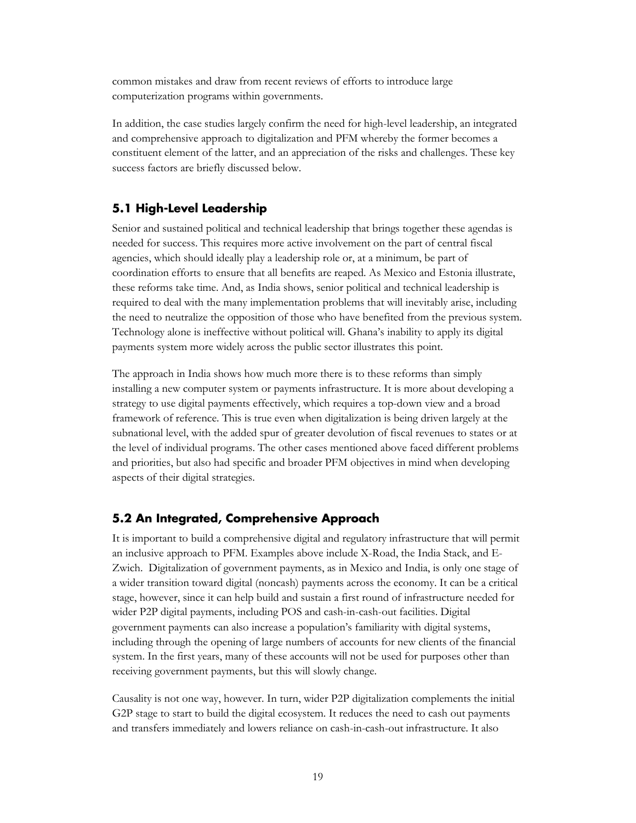common mistakes and draw from recent reviews of efforts to introduce large computerization programs within governments.

In addition, the case studies largely confirm the need for high-level leadership, an integrated and comprehensive approach to digitalization and PFM whereby the former becomes a constituent element of the latter, and an appreciation of the risks and challenges. These key success factors are briefly discussed below.

#### <span id="page-21-0"></span>**5.1 High-Level Leadership**

Senior and sustained political and technical leadership that brings together these agendas is needed for success. This requires more active involvement on the part of central fiscal agencies, which should ideally play a leadership role or, at a minimum, be part of coordination efforts to ensure that all benefits are reaped. As Mexico and Estonia illustrate, these reforms take time. And, as India shows, senior political and technical leadership is required to deal with the many implementation problems that will inevitably arise, including the need to neutralize the opposition of those who have benefited from the previous system. Technology alone is ineffective without political will. Ghana's inability to apply its digital payments system more widely across the public sector illustrates this point.

The approach in India shows how much more there is to these reforms than simply installing a new computer system or payments infrastructure. It is more about developing a strategy to use digital payments effectively, which requires a top-down view and a broad framework of reference. This is true even when digitalization is being driven largely at the subnational level, with the added spur of greater devolution of fiscal revenues to states or at the level of individual programs. The other cases mentioned above faced different problems and priorities, but also had specific and broader PFM objectives in mind when developing aspects of their digital strategies.

#### <span id="page-21-1"></span>**5.2 An Integrated, Comprehensive Approach**

It is important to build a comprehensive digital and regulatory infrastructure that will permit an inclusive approach to PFM. Examples above include X-Road, the India Stack, and E-Zwich. Digitalization of government payments, as in Mexico and India, is only one stage of a wider transition toward digital (noncash) payments across the economy. It can be a critical stage, however, since it can help build and sustain a first round of infrastructure needed for wider P2P digital payments, including POS and cash-in-cash-out facilities. Digital government payments can also increase a population's familiarity with digital systems, including through the opening of large numbers of accounts for new clients of the financial system. In the first years, many of these accounts will not be used for purposes other than receiving government payments, but this will slowly change.

Causality is not one way, however. In turn, wider P2P digitalization complements the initial G2P stage to start to build the digital ecosystem. It reduces the need to cash out payments and transfers immediately and lowers reliance on cash-in-cash-out infrastructure. It also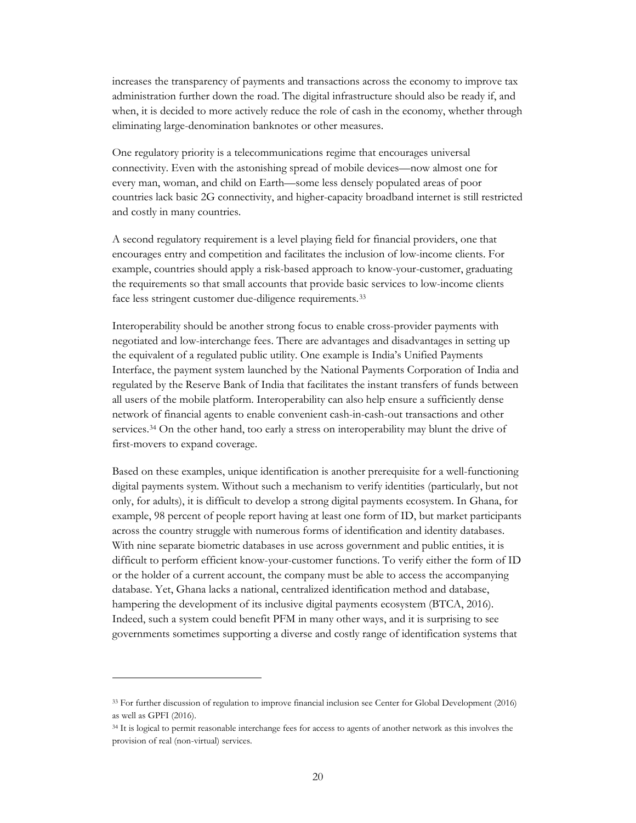increases the transparency of payments and transactions across the economy to improve tax administration further down the road. The digital infrastructure should also be ready if, and when, it is decided to more actively reduce the role of cash in the economy, whether through eliminating large-denomination banknotes or other measures.

One regulatory priority is a telecommunications regime that encourages universal connectivity. Even with the astonishing spread of mobile devices—now almost one for every man, woman, and child on Earth—some less densely populated areas of poor countries lack basic 2G connectivity, and higher-capacity broadband internet is still restricted and costly in many countries.

A second regulatory requirement is a level playing field for financial providers, one that encourages entry and competition and facilitates the inclusion of low-income clients. For example, countries should apply a risk-based approach to know-your-customer, graduating the requirements so that small accounts that provide basic services to low-income clients face less stringent customer due-diligence requirements.[33](#page-22-0)

Interoperability should be another strong focus to enable cross-provider payments with negotiated and low-interchange fees. There are advantages and disadvantages in setting up the equivalent of a regulated public utility. One example is India's Unified Payments Interface, the payment system launched by the National Payments Corporation of India and regulated by the Reserve Bank of India that facilitates the instant transfers of funds between all users of the mobile platform. Interoperability can also help ensure a sufficiently dense network of financial agents to enable convenient cash-in-cash-out transactions and other services.[34](#page-22-1) On the other hand, too early a stress on interoperability may blunt the drive of first-movers to expand coverage.

Based on these examples, unique identification is another prerequisite for a well-functioning digital payments system. Without such a mechanism to verify identities (particularly, but not only, for adults), it is difficult to develop a strong digital payments ecosystem. In Ghana, for example, 98 percent of people report having at least one form of ID, but market participants across the country struggle with numerous forms of identification and identity databases. With nine separate biometric databases in use across government and public entities, it is difficult to perform efficient know-your-customer functions. To verify either the form of ID or the holder of a current account, the company must be able to access the accompanying database. Yet, Ghana lacks a national, centralized identification method and database, hampering the development of its inclusive digital payments ecosystem (BTCA, 2016). Indeed, such a system could benefit PFM in many other ways, and it is surprising to see governments sometimes supporting a diverse and costly range of identification systems that

<span id="page-22-0"></span><sup>33</sup> For further discussion of regulation to improve financial inclusion see Center for Global Development (2016) as well as GPFI (2016).

<span id="page-22-1"></span><sup>34</sup> It is logical to permit reasonable interchange fees for access to agents of another network as this involves the provision of real (non-virtual) services.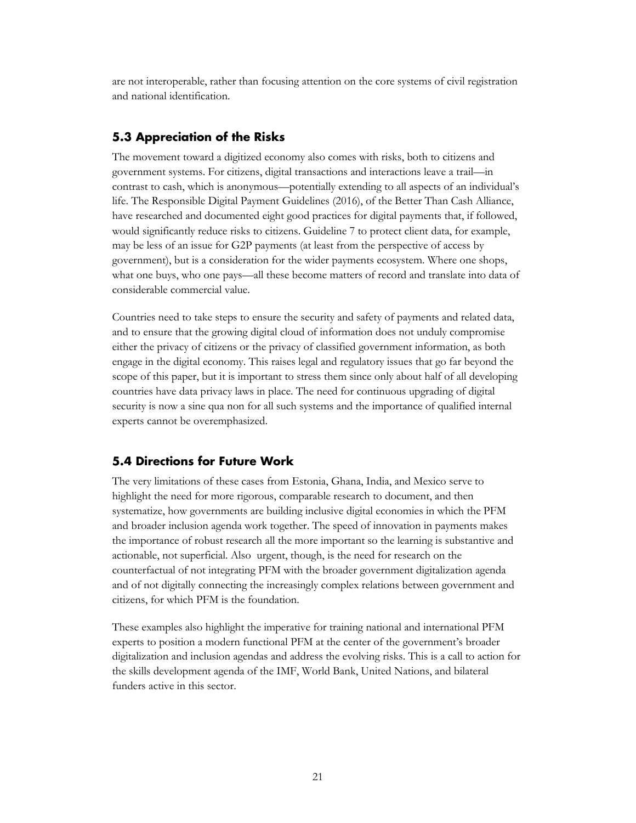are not interoperable, rather than focusing attention on the core systems of civil registration and national identification.

### <span id="page-23-0"></span>**5.3 Appreciation of the Risks**

The movement toward a digitized economy also comes with risks, both to citizens and government systems. For citizens, digital transactions and interactions leave a trail—in contrast to cash, which is anonymous—potentially extending to all aspects of an individual's life. The Responsible Digital Payment Guidelines (2016), of the Better Than Cash Alliance, have researched and documented eight good practices for digital payments that, if followed, would significantly reduce risks to citizens. Guideline 7 to protect client data, for example, may be less of an issue for G2P payments (at least from the perspective of access by government), but is a consideration for the wider payments ecosystem. Where one shops, what one buys, who one pays—all these become matters of record and translate into data of considerable commercial value.

Countries need to take steps to ensure the security and safety of payments and related data, and to ensure that the growing digital cloud of information does not unduly compromise either the privacy of citizens or the privacy of classified government information, as both engage in the digital economy. This raises legal and regulatory issues that go far beyond the scope of this paper, but it is important to stress them since only about half of all developing countries have data privacy laws in place. The need for continuous upgrading of digital security is now a sine qua non for all such systems and the importance of qualified internal experts cannot be overemphasized.

#### <span id="page-23-1"></span>**5.4 Directions for Future Work**

The very limitations of these cases from Estonia, Ghana, India, and Mexico serve to highlight the need for more rigorous, comparable research to document, and then systematize, how governments are building inclusive digital economies in which the PFM and broader inclusion agenda work together. The speed of innovation in payments makes the importance of robust research all the more important so the learning is substantive and actionable, not superficial. Also urgent, though, is the need for research on the counterfactual of not integrating PFM with the broader government digitalization agenda and of not digitally connecting the increasingly complex relations between government and citizens, for which PFM is the foundation.

These examples also highlight the imperative for training national and international PFM experts to position a modern functional PFM at the center of the government's broader digitalization and inclusion agendas and address the evolving risks. This is a call to action for the skills development agenda of the IMF, World Bank, United Nations, and bilateral funders active in this sector.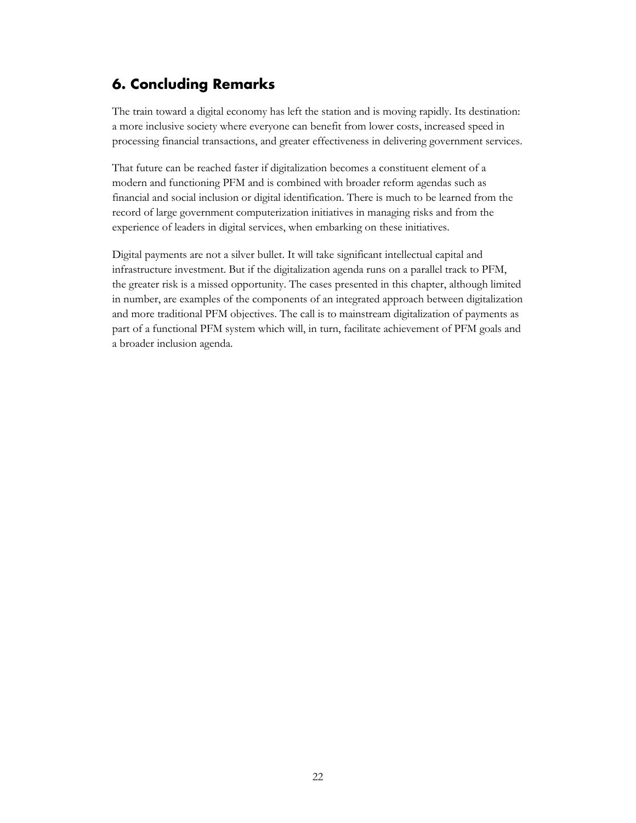# <span id="page-24-0"></span>**6. Concluding Remarks**

The train toward a digital economy has left the station and is moving rapidly. Its destination: a more inclusive society where everyone can benefit from lower costs, increased speed in processing financial transactions, and greater effectiveness in delivering government services.

That future can be reached faster if digitalization becomes a constituent element of a modern and functioning PFM and is combined with broader reform agendas such as financial and social inclusion or digital identification. There is much to be learned from the record of large government computerization initiatives in managing risks and from the experience of leaders in digital services, when embarking on these initiatives.

Digital payments are not a silver bullet. It will take significant intellectual capital and infrastructure investment. But if the digitalization agenda runs on a parallel track to PFM, the greater risk is a missed opportunity. The cases presented in this chapter, although limited in number, are examples of the components of an integrated approach between digitalization and more traditional PFM objectives. The call is to mainstream digitalization of payments as part of a functional PFM system which will, in turn, facilitate achievement of PFM goals and a broader inclusion agenda.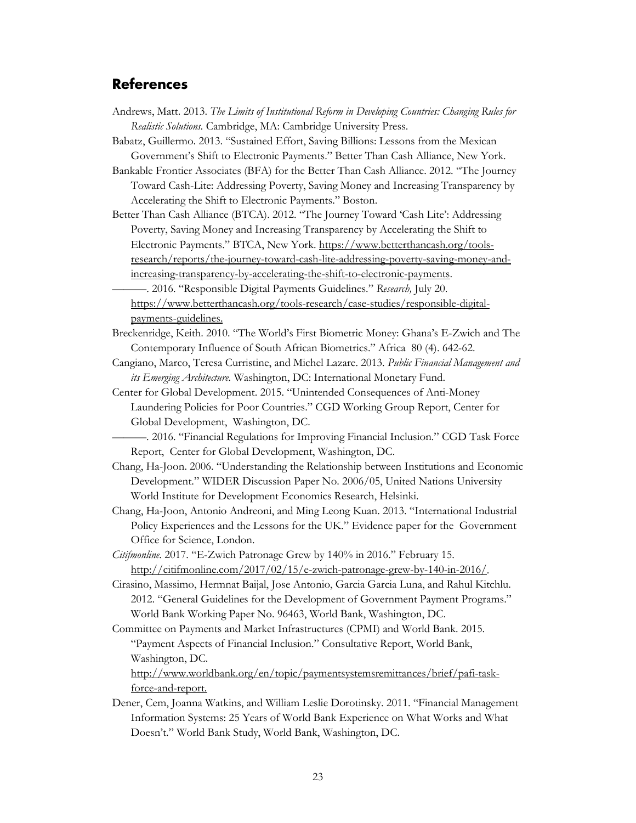# <span id="page-25-0"></span>**References**

- Andrews, Matt. 2013. *The Limits of Institutional Reform in Developing Countries: Changing Rules for Realistic Solutions.* Cambridge, MA: Cambridge University Press.
- Babatz, Guillermo. 2013. "Sustained Effort, Saving Billions: Lessons from the Mexican Government's Shift to Electronic Payments." Better Than Cash Alliance, New York.

Bankable Frontier Associates (BFA) for the Better Than Cash Alliance. 2012. "The Journey Toward Cash-Lite: Addressing Poverty, Saving Money and Increasing Transparency by Accelerating the Shift to Electronic Payments." Boston.

Better Than Cash Alliance (BTCA). 2012. "The Journey Toward 'Cash Lite': Addressing Poverty, Saving Money and Increasing Transparency by Accelerating the Shift to Electronic Payments." BTCA, New York. [https://www.betterthancash.org/tools](https://www.betterthancash.org/tools-research/reports/the-journey-toward-cash-lite-addressing-poverty-saving-money-and-increasing-transparency-by-accelerating-the-shift-to-electronic-payments)[research/reports/the-journey-toward-cash-lite-addressing-poverty-saving-money-and](https://www.betterthancash.org/tools-research/reports/the-journey-toward-cash-lite-addressing-poverty-saving-money-and-increasing-transparency-by-accelerating-the-shift-to-electronic-payments)[increasing-transparency-by-accelerating-the-shift-to-electronic-payments.](https://www.betterthancash.org/tools-research/reports/the-journey-toward-cash-lite-addressing-poverty-saving-money-and-increasing-transparency-by-accelerating-the-shift-to-electronic-payments)

———. 2016. "Responsible Digital Payments Guidelines." *Research,* July 20. [https://www.betterthancash.org/tools-research/case-studies/responsible-digital](https://www.betterthancash.org/tools-research/case-studies/responsible-digital-payments-guidelines)[payments-guidelines.](https://www.betterthancash.org/tools-research/case-studies/responsible-digital-payments-guidelines)

- Breckenridge, Keith. 2010. "The World's First Biometric Money: Ghana's E-Zwich and The Contemporary Influence of South African Biometrics." Africa 80 (4). 642-62.
- Cangiano, Marco, Teresa Curristine, and Michel Lazare. 2013. *Public Financial Management and its Emerging Architecture.* Washington, DC: International Monetary Fund.
- Center for Global Development. 2015. "Unintended Consequences of Anti-Money Laundering Policies for Poor Countries." CGD Working Group Report, Center for Global Development, Washington, DC.

———. 2016. "Financial Regulations for Improving Financial Inclusion." CGD Task Force Report, Center for Global Development, Washington, DC.

- Chang, Ha-Joon. 2006. "Understanding the Relationship between Institutions and Economic Development." WIDER Discussion Paper No. 2006/05, United Nations University World Institute for Development Economics Research, Helsinki.
- Chang, Ha-Joon, Antonio Andreoni, and Ming Leong Kuan. 2013. "International Industrial Policy Experiences and the Lessons for the UK." Evidence paper for the Government Office for Science, London.
- *Citifmonline.* 2017. "E-Zwich Patronage Grew by 140% in 2016." February 15. [http://citifmonline.com/2017/02/15/e-zwich-patronage-grew-by-140-in-2016/.](http://citifmonline.com/2017/02/15/e-zwich-patronage-grew-by-140-in-2016/)

Cirasino, Massimo, Hermnat Baijal, Jose Antonio, Garcia Garcia Luna, and Rahul Kitchlu. 2012. "General Guidelines for the Development of Government Payment Programs." World Bank Working Paper No. 96463, World Bank, Washington, DC.

Committee on Payments and Market Infrastructures (CPMI) and World Bank. 2015. "Payment Aspects of Financial Inclusion." Consultative Report, World Bank, Washington, DC.

[http://www.worldbank.org/en/topic/paymentsystemsremittances/brief/pafi-task](http://www.worldbank.org/en/topic/paymentsystemsremittances/brief/pafi-task-force-and-report)[force-and-report.](http://www.worldbank.org/en/topic/paymentsystemsremittances/brief/pafi-task-force-and-report)

Dener, Cem, Joanna Watkins, and William Leslie Dorotinsky. 2011. "Financial Management Information Systems: 25 Years of World Bank Experience on What Works and What Doesn't." World Bank Study, World Bank, Washington, DC.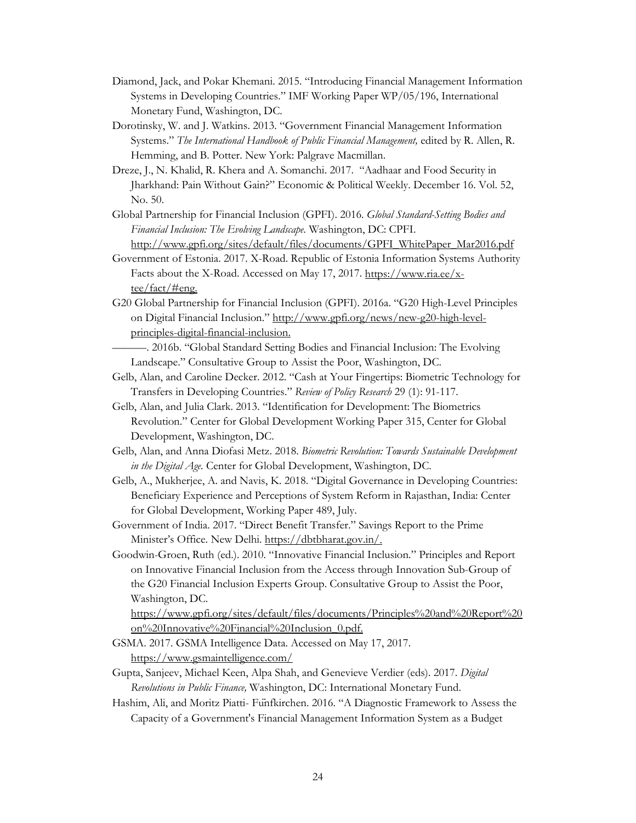- Diamond, Jack, and Pokar Khemani. 2015. "Introducing Financial Management Information Systems in Developing Countries." IMF Working Paper WP/05/196, International Monetary Fund, Washington, DC.
- Dorotinsky, W. and J. Watkins. 2013. "Government Financial Management Information Systems." *The International Handbook of Public Financial Management,* edited by R. Allen, R. Hemming, and B. Potter. New York: Palgrave Macmillan.
- Dreze, J., N. Khalid, R. Khera and A. Somanchi. 2017. "Aadhaar and Food Security in Jharkhand: Pain Without Gain?" Economic & Political Weekly. December 16. Vol. 52, No. 50.
- Global Partnership for Financial Inclusion (GPFI). 2016. *Global Standard-Setting Bodies and Financial Inclusion: The Evolving Landscape.* Washington, DC: CPFI. [http://www.gpfi.org/sites/default/files/documents/GPFI\\_WhitePaper\\_Mar2016.pdf](http://www.gpfi.org/sites/default/files/documents/GPFI_WhitePaper_Mar2016.pdf)
- Government of Estonia. 2017. X-Road. Republic of Estonia Information Systems Authority Facts about the X-Road. Accessed on May 17, 2017. [https://www.ria.ee/x](https://www.ria.ee/x-tee/fact/#eng)[tee/fact/#eng.](https://www.ria.ee/x-tee/fact/#eng)
- G20 Global Partnership for Financial Inclusion (GPFI). 2016a. "G20 High-Level Principles on Digital Financial Inclusion." [http://www.gpfi.org/news/new-g20-high-level](http://www.gpfi.org/news/new-g20-high-level-principles-digital-financial-inclusion)[principles-digital-financial-inclusion.](http://www.gpfi.org/news/new-g20-high-level-principles-digital-financial-inclusion)
	- ———. 2016b. "Global Standard Setting Bodies and Financial Inclusion: The Evolving Landscape." Consultative Group to Assist the Poor, Washington, DC.
- Gelb, Alan, and Caroline Decker. 2012. "Cash at Your Fingertips: Biometric Technology for Transfers in Developing Countries." *Review of Policy Research* 29 (1): 91-117.
- Gelb, Alan, and Julia Clark. 2013. "Identification for Development: The Biometrics Revolution." Center for Global Development Working Paper 315, Center for Global Development, Washington, DC.
- Gelb, Alan, and Anna Diofasi Metz. 2018. *Biometric Revolution: Towards Sustainable Development in the Digital Age.* Center for Global Development, Washington, DC.
- Gelb, A., Mukherjee, A. and Navis, K. 2018. "Digital Governance in Developing Countries: Beneficiary Experience and Perceptions of System Reform in Rajasthan, India: Center for Global Development, Working Paper 489, July.
- Government of India. 2017. "Direct Benefit Transfer." Savings Report to the Prime Minister's Office. New Delhi. [https://dbtbharat.gov.in/.](https://dbtbharat.gov.in/)
- Goodwin-Groen, Ruth (ed.). 2010. "Innovative Financial Inclusion." Principles and Report on Innovative Financial Inclusion from the Access through Innovation Sub-Group of the G20 Financial Inclusion Experts Group. Consultative Group to Assist the Poor, Washington, DC.

[https://www.gpfi.org/sites/default/files/documents/Principles%20and%20Report%20](https://www.gpfi.org/sites/default/files/documents/Principles%20and%20Report%20on%20Innovative%20Financial%20Inclusion_0.pdf) [on%20Innovative%20Financial%20Inclusion\\_0.pdf.](https://www.gpfi.org/sites/default/files/documents/Principles%20and%20Report%20on%20Innovative%20Financial%20Inclusion_0.pdf)

- GSMA. 2017. GSMA Intelligence Data. Accessed on May 17, 2017. <https://www.gsmaintelligence.com/>
- Gupta, Sanjeev, Michael Keen, Alpa Shah, and Genevieve Verdier (eds). 2017. *Digital Revolutions in Public Finance,* Washington, DC: International Monetary Fund.
- Hashim, Ali, and Moritz Piatti- Fünfkirchen. 2016. "A Diagnostic Framework to Assess the Capacity of a Government's Financial Management Information System as a Budget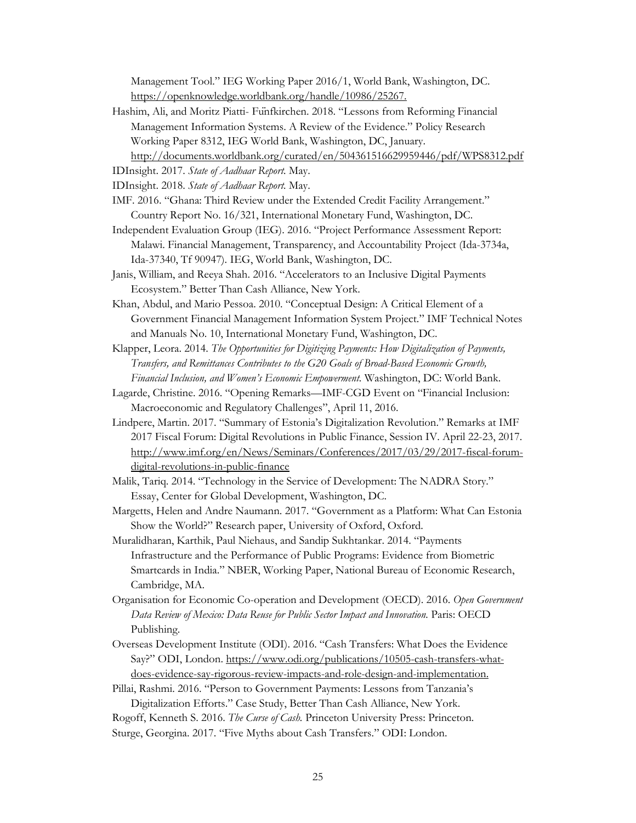Management Tool." IEG Working Paper 2016/1, World Bank, Washington, DC. [https://openknowledge.worldbank.org/handle/10986/25267.](https://openknowledge.worldbank.org/handle/10986/25267)

- Hashim, Ali, and Moritz Piatti- Fünfkirchen. 2018. "Lessons from Reforming Financial Management Information Systems. A Review of the Evidence." Policy Research Working Paper 8312, IEG World Bank, Washington, DC, January. <http://documents.worldbank.org/curated/en/504361516629959446/pdf/WPS8312.pdf>
- IDInsight. 2017. *State of Aadhaar Report.* May.
- 
- IDInsight. 2018. *State of Aadhaar Report.* May.
- IMF. 2016. "Ghana: Third Review under the Extended Credit Facility Arrangement." Country Report No. 16/321, International Monetary Fund, Washington, DC.
- Independent Evaluation Group (IEG). 2016. "Project Performance Assessment Report: Malawi. Financial Management, Transparency, and Accountability Project (Ida-3734a, Ida-37340, Tf 90947). IEG, World Bank, Washington, DC.
- Janis, William, and Reeya Shah. 2016. "Accelerators to an Inclusive Digital Payments Ecosystem." Better Than Cash Alliance, New York.
- Khan, Abdul, and Mario Pessoa. 2010. "Conceptual Design: A Critical Element of a Government Financial Management Information System Project." IMF Technical Notes and Manuals No. 10, International Monetary Fund, Washington, DC.
- Klapper, Leora. 2014. *The Opportunities for Digitizing Payments: How Digitalization of Payments, Transfers, and Remittances Contributes to the G20 Goals of Broad-Based Economic Growth, Financial Inclusion, and Women's Economic Empowerment.* Washington, DC: World Bank.
- Lagarde, Christine. 2016. "Opening Remarks—IMF-CGD Event on "Financial Inclusion: Macroeconomic and Regulatory Challenges", April 11, 2016.
- Lindpere, Martin. 2017. "Summary of Estonia's Digitalization Revolution." Remarks at IMF 2017 Fiscal Forum: Digital Revolutions in Public Finance, Session IV. April 22-23, 2017. [http://www.imf.org/en/News/Seminars/Conferences/2017/03/29/2017-fiscal-forum](http://www.imf.org/en/News/Seminars/Conferences/2017/03/29/2017-fiscal-forum-digital-revolutions-in-public-finance)[digital-revolutions-in-public-finance](http://www.imf.org/en/News/Seminars/Conferences/2017/03/29/2017-fiscal-forum-digital-revolutions-in-public-finance)
- Malik, Tariq. 2014. "Technology in the Service of Development: The NADRA Story." Essay, Center for Global Development, Washington, DC.
- Margetts, Helen and Andre Naumann. 2017. "Government as a Platform: What Can Estonia Show the World?" Research paper, University of Oxford, Oxford.
- Muralidharan, Karthik, Paul Niehaus, and Sandip Sukhtankar. 2014. "Payments Infrastructure and the Performance of Public Programs: Evidence from Biometric Smartcards in India." NBER, Working Paper, [National Bureau of Economic Research,](https://www.microfinancegateway.org/organization/national-bureau-economic-research-nber)  Cambridge, MA.
- Organisation for Economic Co-operation and Development (OECD). 2016. *Open Government*  Data Review of Mexico: Data Reuse for Public Sector Impact and Innovation. Paris: OECD Publishing.
- Overseas Development Institute (ODI). 2016. "Cash Transfers: What Does the Evidence Say?" ODI, London. [https://www.odi.org/publications/10505-cash-transfers-what](https://www.odi.org/publications/10505-cash-transfers-what-does-evidence-say-rigorous-review-impacts-and-role-design-and-implementation)[does-evidence-say-rigorous-review-impacts-and-role-design-and-implementation.](https://www.odi.org/publications/10505-cash-transfers-what-does-evidence-say-rigorous-review-impacts-and-role-design-and-implementation)
- Pillai, Rashmi. 2016. "Person to Government Payments: Lessons from Tanzania's Digitalization Efforts." Case Study, Better Than Cash Alliance, New York.
- Rogoff, Kenneth S. 2016. *The Curse of Cash.* Princeton University Press: Princeton.
- Sturge, Georgina. 2017. "Five Myths about Cash Transfers." ODI: London.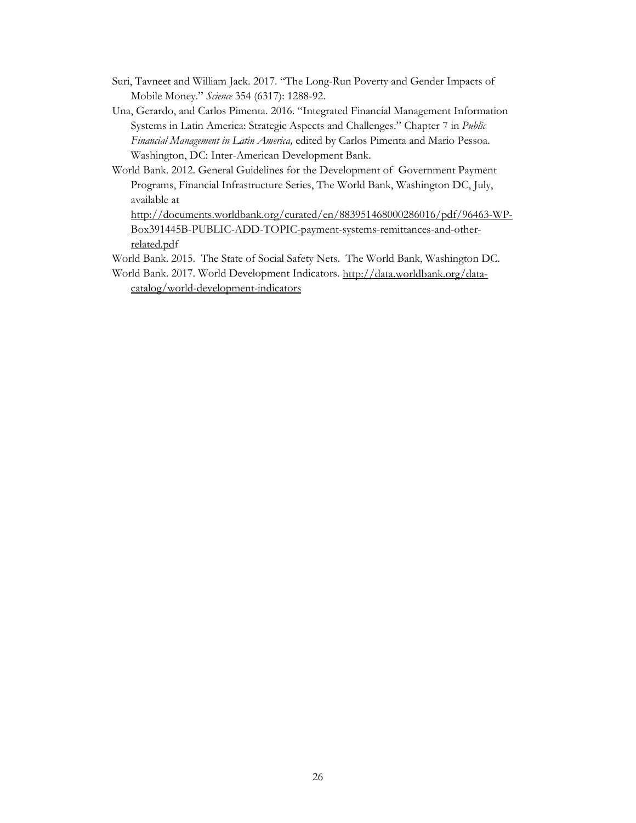- Suri, Tavneet and William Jack. 2017. "The Long-Run Poverty and Gender Impacts of Mobile Money." *Science* 354 (6317): 1288-92.
- Una, Gerardo, and Carlos Pimenta. 2016. "Integrated Financial Management Information Systems in Latin America: Strategic Aspects and Challenges." Chapter 7 in *Public Financial Management in Latin America,* edited by Carlos Pimenta and Mario Pessoa. Washington, DC: Inter-American Development Bank.
- World Bank. 2012. General Guidelines for the Development of Government Payment Programs, Financial Infrastructure Series, The World Bank, Washington DC, July, available at

[http://documents.worldbank.org/curated/en/883951468000286016/pdf/96463-WP-](http://documents.worldbank.org/curated/en/883951468000286016/pdf/96463-WP-Box391445B-PUBLIC-ADD-TOPIC-payment-systems-remittances-and-other-related.pdf)[Box391445B-PUBLIC-ADD-TOPIC-payment-systems-remittances-and-other](http://documents.worldbank.org/curated/en/883951468000286016/pdf/96463-WP-Box391445B-PUBLIC-ADD-TOPIC-payment-systems-remittances-and-other-related.pdf)[related.pdf](http://documents.worldbank.org/curated/en/883951468000286016/pdf/96463-WP-Box391445B-PUBLIC-ADD-TOPIC-payment-systems-remittances-and-other-related.pdf)

- World Bank. 2015. The State of Social Safety Nets. The World Bank, Washington DC.
- World Bank. 2017. World Development Indicators. [http://data.worldbank.org/data](http://data.worldbank.org/data-catalog/world-development-indicators)[catalog/world-development-indicators](http://data.worldbank.org/data-catalog/world-development-indicators)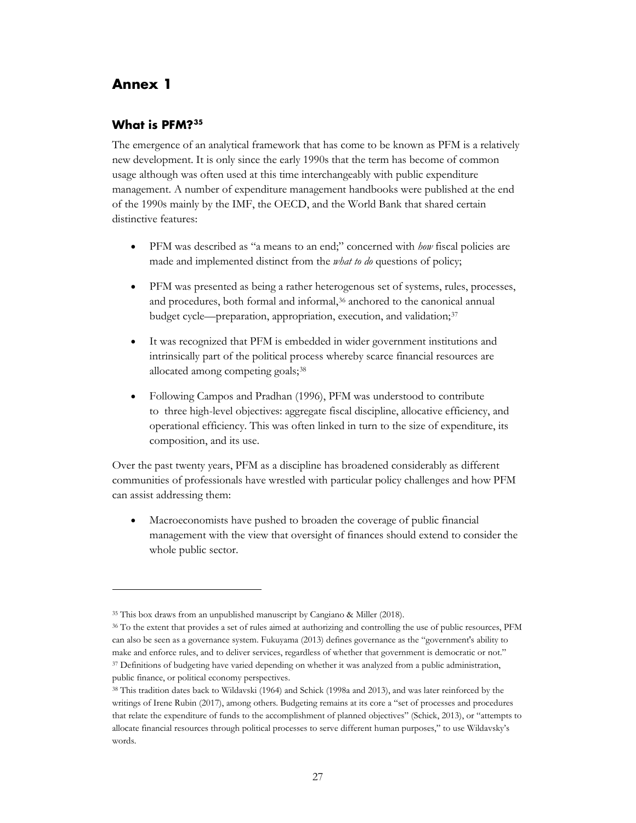# <span id="page-29-0"></span>**Annex 1**

 $\ddot{\phantom{a}}$ 

#### **What is PFM?[35](#page-29-1)**

The emergence of an analytical framework that has come to be known as PFM is a relatively new development. It is only since the early 1990s that the term has become of common usage although was often used at this time interchangeably with public expenditure management. A number of expenditure management handbooks were published at the end of the 1990s mainly by the IMF, the OECD, and the World Bank that shared certain distinctive features:

- PFM was described as "a means to an end;" concerned with *how* fiscal policies are made and implemented distinct from the *what to do* questions of policy;
- PFM was presented as being a rather heterogenous set of systems, rules, processes, and procedures, both formal and informal,<sup>[36](#page-29-2)</sup> anchored to the canonical annual budget cycle—preparation, appropriation, execution, and validation;<sup>[37](#page-29-3)</sup>
- It was recognized that PFM is embedded in wider government institutions and intrinsically part of the political process whereby scarce financial resources are allocated among competing goals;<sup>38</sup>
- Following Campos and Pradhan (1996), PFM was understood to contribute to three high-level objectives: aggregate fiscal discipline, allocative efficiency, and operational efficiency. This was often linked in turn to the size of expenditure, its composition, and its use.

Over the past twenty years, PFM as a discipline has broadened considerably as different communities of professionals have wrestled with particular policy challenges and how PFM can assist addressing them:

• Macroeconomists have pushed to broaden the coverage of public financial management with the view that oversight of finances should extend to consider the whole public sector.

<sup>35</sup> This box draws from an unpublished manuscript by Cangiano & Miller (2018).

<span id="page-29-2"></span><span id="page-29-1"></span><sup>36</sup> To the extent that provides a set of rules aimed at authorizing and controlling the use of public resources, PFM can also be seen as a governance system. Fukuyama (2013) defines governance as the "government's ability to make and enforce rules, and to deliver services, regardless of whether that government is democratic or not." <sup>37</sup> Definitions of budgeting have varied depending on whether it was analyzed from a public administration, public finance, or political economy perspectives.

<span id="page-29-4"></span><span id="page-29-3"></span><sup>38</sup> This tradition dates back to Wildavski (1964) and Schick (1998a and 2013), and was later reinforced by the writings of Irene Rubin (2017), among others. Budgeting remains at its core a "set of processes and procedures that relate the expenditure of funds to the accomplishment of planned objectives" (Schick, 2013), or "attempts to allocate financial resources through political processes to serve different human purposes," to use Wildavsky's words.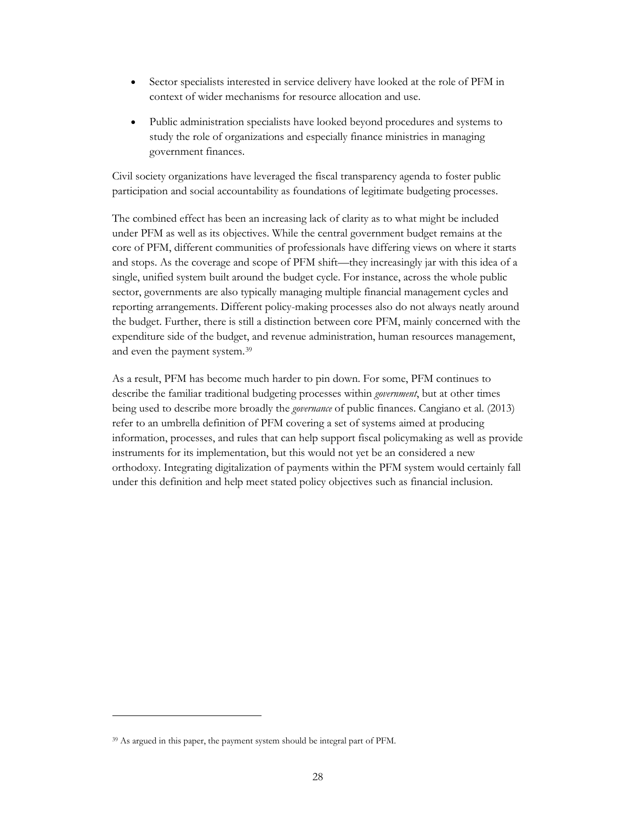- Sector specialists interested in service delivery have looked at the role of PFM in context of wider mechanisms for resource allocation and use.
- Public administration specialists have looked beyond procedures and systems to study the role of organizations and especially finance ministries in managing government finances.

Civil society organizations have leveraged the fiscal transparency agenda to foster public participation and social accountability as foundations of legitimate budgeting processes.

The combined effect has been an increasing lack of clarity as to what might be included under PFM as well as its objectives. While the central government budget remains at the core of PFM, different communities of professionals have differing views on where it starts and stops. As the coverage and scope of PFM shift—they increasingly jar with this idea of a single, unified system built around the budget cycle. For instance, across the whole public sector, governments are also typically managing multiple financial management cycles and reporting arrangements. Different policy-making processes also do not always neatly around the budget. Further, there is still a distinction between core PFM, mainly concerned with the expenditure side of the budget, and revenue administration, human resources management, and even the payment system.[39](#page-30-0)

As a result, PFM has become much harder to pin down. For some, PFM continues to describe the familiar traditional budgeting processes within *government*, but at other times being used to describe more broadly the *governance* of public finances. Cangiano et al. (2013) refer to an umbrella definition of PFM covering a set of systems aimed at producing information, processes, and rules that can help support fiscal policymaking as well as provide instruments for its implementation, but this would not yet be an considered a new orthodoxy. Integrating digitalization of payments within the PFM system would certainly fall under this definition and help meet stated policy objectives such as financial inclusion.

 $\ddot{\phantom{a}}$ 

<span id="page-30-0"></span><sup>39</sup> As argued in this paper, the payment system should be integral part of PFM.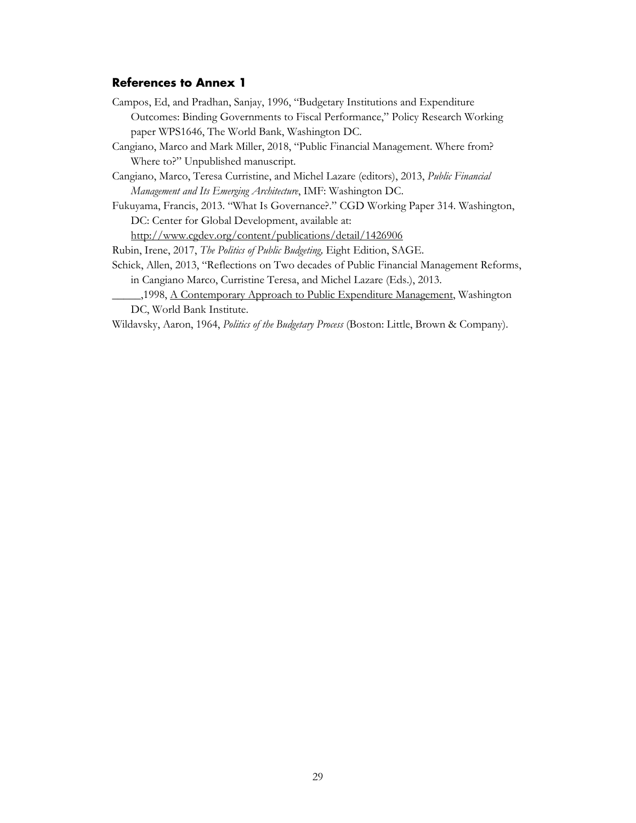#### **References to Annex 1**

Campos, Ed, and Pradhan, Sanjay, 1996, "Budgetary Institutions and Expenditure Outcomes: Binding Governments to Fiscal Performance," Policy Research Working paper WPS1646, The World Bank, Washington DC.

Cangiano, Marco and Mark Miller, 2018, "Public Financial Management. Where from? Where to?" Unpublished manuscript.

Cangiano, Marco, Teresa Curristine, and Michel Lazare (editors), 2013, *Public Financial Management and Its Emerging Architecture*, IMF: Washington DC.

Fukuyama, Francis, 2013. "What Is Governance?." CGD Working Paper 314. Washington, DC: Center for Global Development, available at:

<http://www.cgdev.org/content/publications/detail/1426906>

Rubin, Irene, 2017, *The Politics of Public Budgeting,* Eight Edition, SAGE.

- Schick, Allen, 2013, "Reflections on Two decades of Public Financial Management Reforms, in Cangiano Marco, Curristine Teresa, and Michel Lazare (Eds.), 2013.
	- \_\_\_\_\_,1998, A Contemporary Approach to Public Expenditure Management, Washington DC, World Bank Institute.

Wildavsky, Aaron, 1964, *Politics of the Budgetary Process* (Boston: Little, Brown & Company).